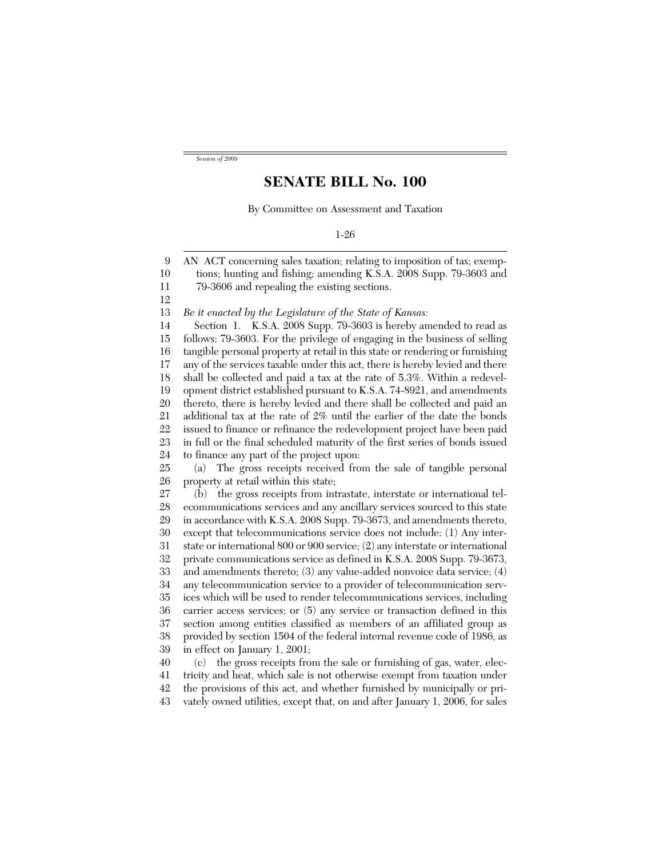*Session of 2009*

## **SENATE BILL No. 100**

By Committee on Assessment and Taxation

9 10 11 12 13 14 15 16 17 18 19 20 21 22 23 24 25 26 27 28 29 30 31 32 33 34 35 36 37 38 39 40 41 42 AN ACT concerning sales taxation; relating to imposition of tax; exemptions; hunting and fishing; amending K.S.A. 2008 Supp. 79-3603 and 79-3606 and repealing the existing sections. *Be it enacted by the Legislature of the State of Kansas:* Section 1. K.S.A. 2008 Supp. 79-3603 is hereby amended to read as follows: 79-3603. For the privilege of engaging in the business of selling tangible personal property at retail in this state or rendering or furnishing any of the services taxable under this act, there is hereby levied and there shall be collected and paid a tax at the rate of 5.3%. Within a redevelopment district established pursuant to K.S.A. 74-8921, and amendments thereto, there is hereby levied and there shall be collected and paid an additional tax at the rate of 2% until the earlier of the date the bonds issued to finance or refinance the redevelopment project have been paid in full or the final scheduled maturity of the first series of bonds issued to finance any part of the project upon: (a) The gross receipts received from the sale of tangible personal property at retail within this state; (b) the gross receipts from intrastate, interstate or international telecommunications services and any ancillary services sourced to this state in accordance with K.S.A. 2008 Supp. 79-3673, and amendments thereto, except that telecommunications service does not include: (1) Any interstate or international 800 or 900 service; (2) any interstate or international private communications service as defined in K.S.A. 2008 Supp. 79-3673, and amendments thereto; (3) any value-added nonvoice data service; (4) any telecommunication service to a provider of telecommunication services which will be used to render telecommunications services, including carrier access services; or (5) any service or transaction defined in this section among entities classified as members of an affiliated group as provided by section 1504 of the federal internal revenue code of 1986, as in effect on January 1, 2001; (c) the gross receipts from the sale or furnishing of gas, water, electricity and heat, which sale is not otherwise exempt from taxation under the provisions of this act, and whether furnished by municipally or pri-

43 vately owned utilities, except that, on and after January 1, 2006, for sales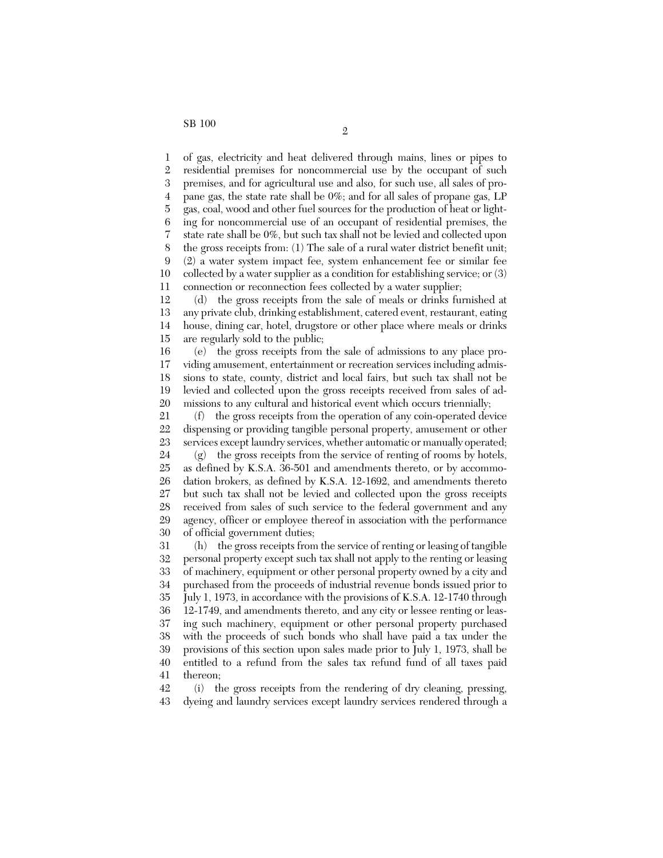1 2 3 4 5 6 7 8 9 10 11 of gas, electricity and heat delivered through mains, lines or pipes to residential premises for noncommercial use by the occupant of such premises, and for agricultural use and also, for such use, all sales of propane gas, the state rate shall be 0%; and for all sales of propane gas, LP gas, coal, wood and other fuel sources for the production of heat or lighting for noncommercial use of an occupant of residential premises, the state rate shall be 0%, but such tax shall not be levied and collected upon the gross receipts from: (1) The sale of a rural water district benefit unit; (2) a water system impact fee, system enhancement fee or similar fee collected by a water supplier as a condition for establishing service; or (3) connection or reconnection fees collected by a water supplier;

12 13 14 15 (d) the gross receipts from the sale of meals or drinks furnished at any private club, drinking establishment, catered event, restaurant, eating house, dining car, hotel, drugstore or other place where meals or drinks are regularly sold to the public;

16 17 18 19 20 (e) the gross receipts from the sale of admissions to any place providing amusement, entertainment or recreation services including admissions to state, county, district and local fairs, but such tax shall not be levied and collected upon the gross receipts received from sales of admissions to any cultural and historical event which occurs triennially;

21 22 23 24 (f) the gross receipts from the operation of any coin-operated device dispensing or providing tangible personal property, amusement or other services except laundry services, whether automatic or manually operated;

25 26 27 28 29 30 (g) the gross receipts from the service of renting of rooms by hotels, as defined by K.S.A. 36-501 and amendments thereto, or by accommodation brokers, as defined by K.S.A. 12-1692, and amendments thereto but such tax shall not be levied and collected upon the gross receipts received from sales of such service to the federal government and any agency, officer or employee thereof in association with the performance of official government duties;

31 32 33 34 35 36 37 38 39 40 41 (h) the gross receipts from the service of renting or leasing of tangible personal property except such tax shall not apply to the renting or leasing of machinery, equipment or other personal property owned by a city and purchased from the proceeds of industrial revenue bonds issued prior to July 1, 1973, in accordance with the provisions of K.S.A. 12-1740 through 12-1749, and amendments thereto, and any city or lessee renting or leasing such machinery, equipment or other personal property purchased with the proceeds of such bonds who shall have paid a tax under the provisions of this section upon sales made prior to July 1, 1973, shall be entitled to a refund from the sales tax refund fund of all taxes paid thereon;

42 43 (i) the gross receipts from the rendering of dry cleaning, pressing, dyeing and laundry services except laundry services rendered through a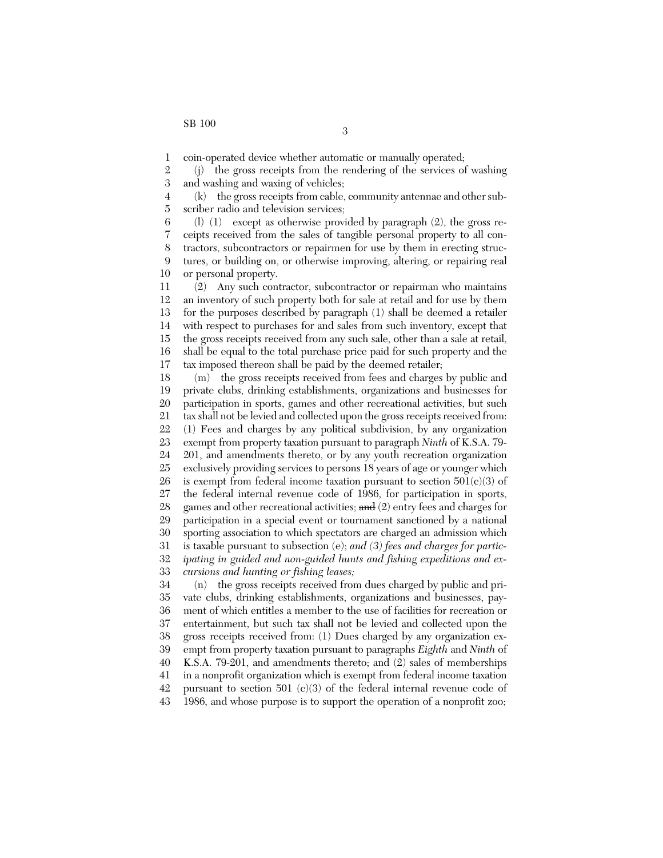1 coin-operated device whether automatic or manually operated;

2 3 (j) the gross receipts from the rendering of the services of washing and washing and waxing of vehicles;

4 5 (k) the gross receipts from cable, community antennae and other subscriber radio and television services;

6 7 8 9 10 (l) (1) except as otherwise provided by paragraph (2), the gross receipts received from the sales of tangible personal property to all contractors, subcontractors or repairmen for use by them in erecting structures, or building on, or otherwise improving, altering, or repairing real or personal property.

11 12 13 14 15 16 17 (2) Any such contractor, subcontractor or repairman who maintains an inventory of such property both for sale at retail and for use by them for the purposes described by paragraph (1) shall be deemed a retailer with respect to purchases for and sales from such inventory, except that the gross receipts received from any such sale, other than a sale at retail, shall be equal to the total purchase price paid for such property and the tax imposed thereon shall be paid by the deemed retailer;

18 19 20 21 22 23 24 25 26 27 28 29 30 31 32 33 (m) the gross receipts received from fees and charges by public and private clubs, drinking establishments, organizations and businesses for participation in sports, games and other recreational activities, but such tax shall not be levied and collected upon the gross receipts received from: (1) Fees and charges by any political subdivision, by any organization exempt from property taxation pursuant to paragraph *Ninth* of K.S.A. 79- 201, and amendments thereto, or by any youth recreation organization exclusively providing services to persons 18 years of age or younger which is exempt from federal income taxation pursuant to section  $501(c)(3)$  of the federal internal revenue code of 1986, for participation in sports, games and other recreational activities; and (2) entry fees and charges for participation in a special event or tournament sanctioned by a national sporting association to which spectators are charged an admission which is taxable pursuant to subsection (e); *and (3) fees and charges for participating in guided and non-guided hunts and fishing expeditions and excursions and hunting or fishing leases;*

34 35 36 37 38 39 40 41 42 43 (n) the gross receipts received from dues charged by public and private clubs, drinking establishments, organizations and businesses, payment of which entitles a member to the use of facilities for recreation or entertainment, but such tax shall not be levied and collected upon the gross receipts received from: (1) Dues charged by any organization exempt from property taxation pursuant to paragraphs *Eighth* and *Ninth* of K.S.A. 79-201, and amendments thereto; and (2) sales of memberships in a nonprofit organization which is exempt from federal income taxation pursuant to section 501 (c)(3) of the federal internal revenue code of 1986, and whose purpose is to support the operation of a nonprofit zoo;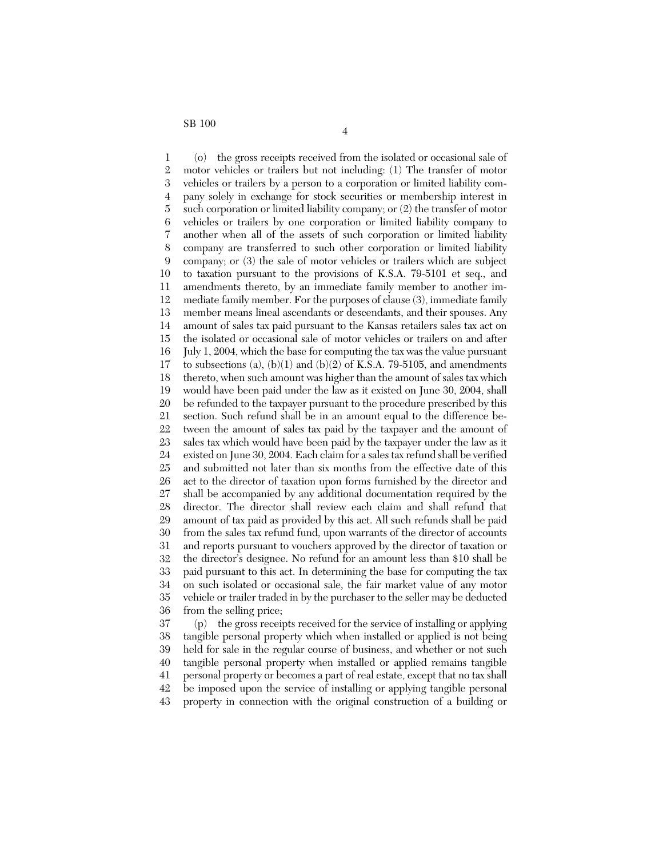1 2 3 4 5 6 7 8 9 10 11 12 13 14 15 16 17 18 19 20 21 22 23 24 25 26 27 28 29 30 31 32 33 34 35 36 37 (o) the gross receipts received from the isolated or occasional sale of motor vehicles or trailers but not including: (1) The transfer of motor vehicles or trailers by a person to a corporation or limited liability company solely in exchange for stock securities or membership interest in such corporation or limited liability company; or (2) the transfer of motor vehicles or trailers by one corporation or limited liability company to another when all of the assets of such corporation or limited liability company are transferred to such other corporation or limited liability company; or (3) the sale of motor vehicles or trailers which are subject to taxation pursuant to the provisions of K.S.A. 79-5101 et seq., and amendments thereto, by an immediate family member to another immediate family member. For the purposes of clause (3), immediate family member means lineal ascendants or descendants, and their spouses. Any amount of sales tax paid pursuant to the Kansas retailers sales tax act on the isolated or occasional sale of motor vehicles or trailers on and after July 1, 2004, which the base for computing the tax was the value pursuant to subsections (a),  $(b)(1)$  and  $(b)(2)$  of K.S.A. 79-5105, and amendments thereto, when such amount was higher than the amount of sales tax which would have been paid under the law as it existed on June 30, 2004, shall be refunded to the taxpayer pursuant to the procedure prescribed by this section. Such refund shall be in an amount equal to the difference between the amount of sales tax paid by the taxpayer and the amount of sales tax which would have been paid by the taxpayer under the law as it existed on June 30, 2004. Each claim for a sales tax refund shall be verified and submitted not later than six months from the effective date of this act to the director of taxation upon forms furnished by the director and shall be accompanied by any additional documentation required by the director. The director shall review each claim and shall refund that amount of tax paid as provided by this act. All such refunds shall be paid from the sales tax refund fund, upon warrants of the director of accounts and reports pursuant to vouchers approved by the director of taxation or the director's designee. No refund for an amount less than \$10 shall be paid pursuant to this act. In determining the base for computing the tax on such isolated or occasional sale, the fair market value of any motor vehicle or trailer traded in by the purchaser to the seller may be deducted from the selling price;

38 39 40 41 42 43 (p) the gross receipts received for the service of installing or applying tangible personal property which when installed or applied is not being held for sale in the regular course of business, and whether or not such tangible personal property when installed or applied remains tangible personal property or becomes a part of real estate, except that no tax shall be imposed upon the service of installing or applying tangible personal property in connection with the original construction of a building or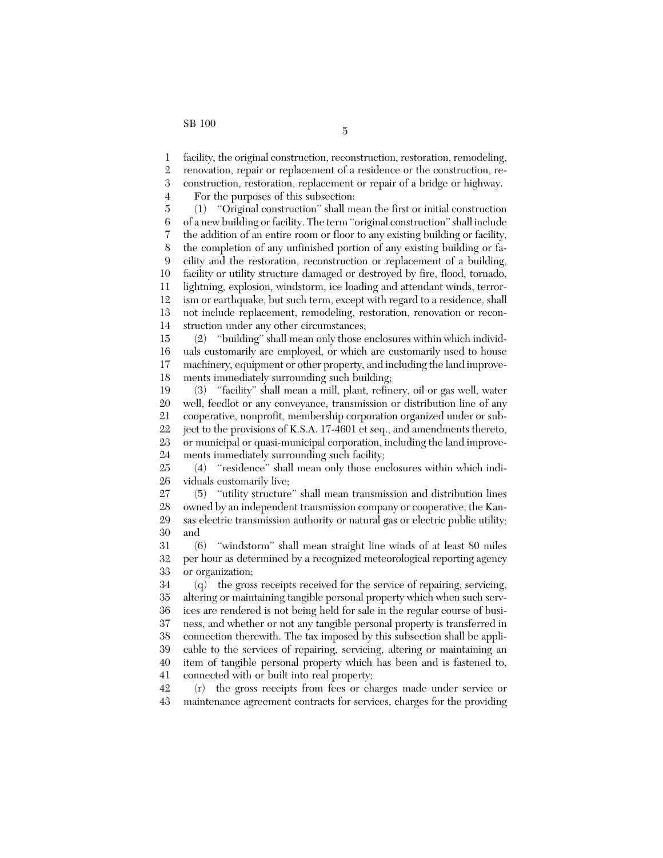4

1 facility, the original construction, reconstruction, restoration, remodeling,

2 renovation, repair or replacement of a residence or the construction, re-

3 construction, restoration, replacement or repair of a bridge or highway.

For the purposes of this subsection:

5 6 7 8 9 10 11 12 13 14 (1) ''Original construction'' shall mean the first or initial construction of a new building or facility. The term ''original construction'' shall include the addition of an entire room or floor to any existing building or facility, the completion of any unfinished portion of any existing building or facility and the restoration, reconstruction or replacement of a building, facility or utility structure damaged or destroyed by fire, flood, tornado, lightning, explosion, windstorm, ice loading and attendant winds, terrorism or earthquake, but such term, except with regard to a residence, shall not include replacement, remodeling, restoration, renovation or reconstruction under any other circumstances;

15 16 17 18 (2) ''building'' shall mean only those enclosures within which individuals customarily are employed, or which are customarily used to house machinery, equipment or other property, and including the land improvements immediately surrounding such building;

19 20 21 22 23 24 (3) ''facility'' shall mean a mill, plant, refinery, oil or gas well, water well, feedlot or any conveyance, transmission or distribution line of any cooperative, nonprofit, membership corporation organized under or subject to the provisions of K.S.A. 17-4601 et seq., and amendments thereto, or municipal or quasi-municipal corporation, including the land improvements immediately surrounding such facility;

25 26 (4) ''residence'' shall mean only those enclosures within which individuals customarily live;

27 28 29 30 (5) ''utility structure'' shall mean transmission and distribution lines owned by an independent transmission company or cooperative, the Kansas electric transmission authority or natural gas or electric public utility; and

31 32 33 (6) ''windstorm'' shall mean straight line winds of at least 80 miles per hour as determined by a recognized meteorological reporting agency or organization;

34 35 36 37 38 39 40 41 (q) the gross receipts received for the service of repairing, servicing, altering or maintaining tangible personal property which when such services are rendered is not being held for sale in the regular course of business, and whether or not any tangible personal property is transferred in connection therewith. The tax imposed by this subsection shall be applicable to the services of repairing, servicing, altering or maintaining an item of tangible personal property which has been and is fastened to, connected with or built into real property;

42 43 (r) the gross receipts from fees or charges made under service or maintenance agreement contracts for services, charges for the providing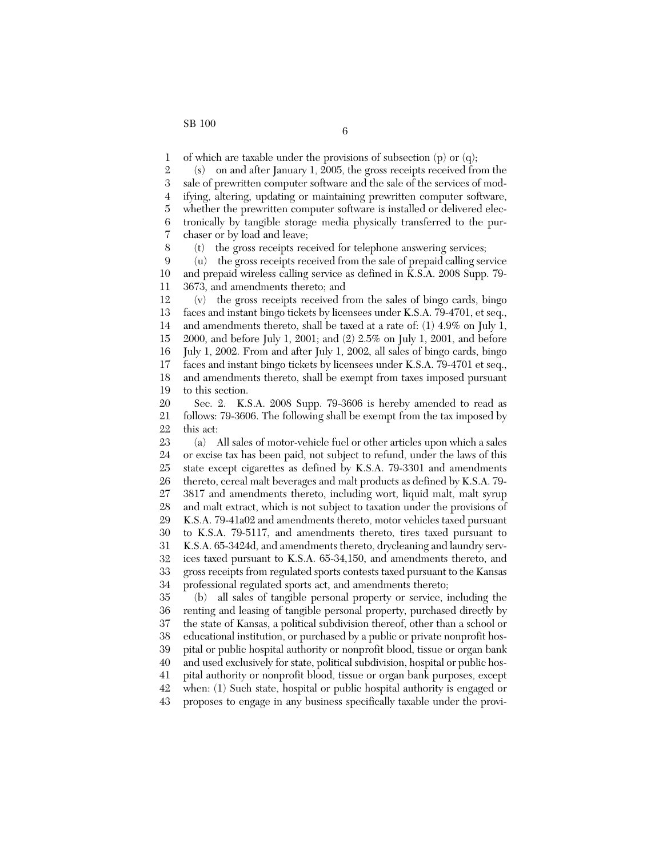8

1 of which are taxable under the provisions of subsection (p) or (q);

2 3 4 5 6 7 (s) on and after January 1, 2005, the gross receipts received from the sale of prewritten computer software and the sale of the services of modifying, altering, updating or maintaining prewritten computer software, whether the prewritten computer software is installed or delivered electronically by tangible storage media physically transferred to the purchaser or by load and leave;

(t) the gross receipts received for telephone answering services;

9 10 11 (u) the gross receipts received from the sale of prepaid calling service and prepaid wireless calling service as defined in K.S.A. 2008 Supp. 79- 3673, and amendments thereto; and

12 13 14 15 16 17 18 19 (v) the gross receipts received from the sales of bingo cards, bingo faces and instant bingo tickets by licensees under K.S.A. 79-4701, et seq., and amendments thereto, shall be taxed at a rate of: (1) 4.9% on July 1, 2000, and before July 1, 2001; and (2) 2.5% on July 1, 2001, and before July 1, 2002. From and after July 1, 2002, all sales of bingo cards, bingo faces and instant bingo tickets by licensees under K.S.A. 79-4701 et seq., and amendments thereto, shall be exempt from taxes imposed pursuant to this section.

20 21 22 Sec. 2. K.S.A. 2008 Supp. 79-3606 is hereby amended to read as follows: 79-3606. The following shall be exempt from the tax imposed by this act:

23 24 25 26 27 28 29 30 31 32 33 34 35 (a) All sales of motor-vehicle fuel or other articles upon which a sales or excise tax has been paid, not subject to refund, under the laws of this state except cigarettes as defined by K.S.A. 79-3301 and amendments thereto, cereal malt beverages and malt products as defined by K.S.A. 79- 3817 and amendments thereto, including wort, liquid malt, malt syrup and malt extract, which is not subject to taxation under the provisions of K.S.A. 79-41a02 and amendments thereto, motor vehicles taxed pursuant to K.S.A. 79-5117, and amendments thereto, tires taxed pursuant to K.S.A. 65-3424d, and amendments thereto, drycleaning and laundry services taxed pursuant to K.S.A. 65-34,150, and amendments thereto, and gross receipts from regulated sports contests taxed pursuant to the Kansas professional regulated sports act, and amendments thereto; (b) all sales of tangible personal property or service, including the

36 37 38 39 40 41 42 43 renting and leasing of tangible personal property, purchased directly by the state of Kansas, a political subdivision thereof, other than a school or educational institution, or purchased by a public or private nonprofit hospital or public hospital authority or nonprofit blood, tissue or organ bank and used exclusively for state, political subdivision, hospital or public hospital authority or nonprofit blood, tissue or organ bank purposes, except when: (1) Such state, hospital or public hospital authority is engaged or proposes to engage in any business specifically taxable under the provi-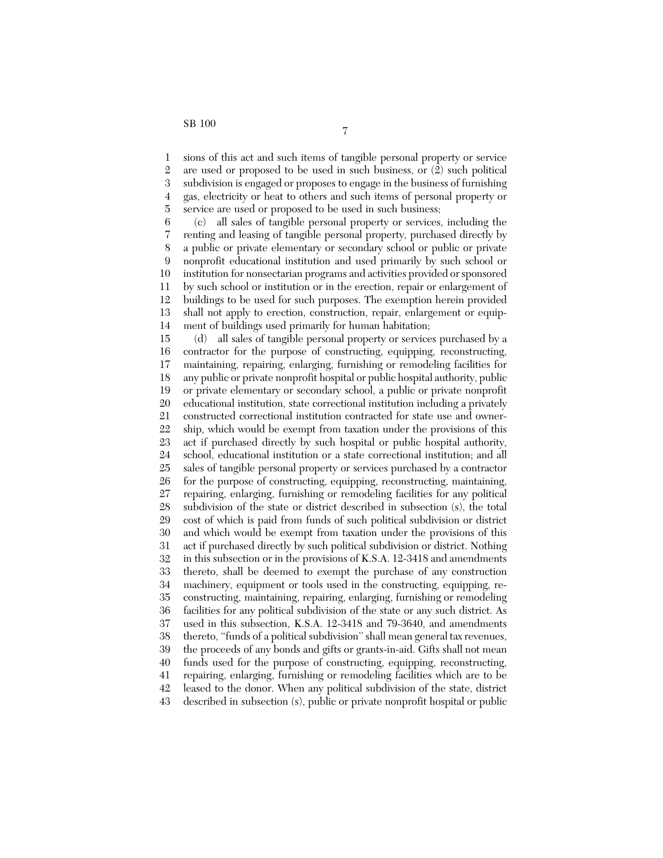1 2 3 4 5 sions of this act and such items of tangible personal property or service are used or proposed to be used in such business, or (2) such political subdivision is engaged or proposes to engage in the business of furnishing gas, electricity or heat to others and such items of personal property or service are used or proposed to be used in such business;

6 7 8 9 10 11 12 13 14 (c) all sales of tangible personal property or services, including the renting and leasing of tangible personal property, purchased directly by a public or private elementary or secondary school or public or private nonprofit educational institution and used primarily by such school or institution for nonsectarian programs and activities provided or sponsored by such school or institution or in the erection, repair or enlargement of buildings to be used for such purposes. The exemption herein provided shall not apply to erection, construction, repair, enlargement or equipment of buildings used primarily for human habitation;

15 16 17 18 19 20 21 22 23 24 25 26 27 28 29 30 31 32 33 34 35 36 37 38 39 40 41 42 43 (d) all sales of tangible personal property or services purchased by a contractor for the purpose of constructing, equipping, reconstructing, maintaining, repairing, enlarging, furnishing or remodeling facilities for any public or private nonprofit hospital or public hospital authority, public or private elementary or secondary school, a public or private nonprofit educational institution, state correctional institution including a privately constructed correctional institution contracted for state use and ownership, which would be exempt from taxation under the provisions of this act if purchased directly by such hospital or public hospital authority, school, educational institution or a state correctional institution; and all sales of tangible personal property or services purchased by a contractor for the purpose of constructing, equipping, reconstructing, maintaining, repairing, enlarging, furnishing or remodeling facilities for any political subdivision of the state or district described in subsection (s), the total cost of which is paid from funds of such political subdivision or district and which would be exempt from taxation under the provisions of this act if purchased directly by such political subdivision or district. Nothing in this subsection or in the provisions of K.S.A. 12-3418 and amendments thereto, shall be deemed to exempt the purchase of any construction machinery, equipment or tools used in the constructing, equipping, reconstructing, maintaining, repairing, enlarging, furnishing or remodeling facilities for any political subdivision of the state or any such district. As used in this subsection, K.S.A. 12-3418 and 79-3640, and amendments thereto, ''funds of a political subdivision'' shall mean general tax revenues, the proceeds of any bonds and gifts or grants-in-aid. Gifts shall not mean funds used for the purpose of constructing, equipping, reconstructing, repairing, enlarging, furnishing or remodeling facilities which are to be leased to the donor. When any political subdivision of the state, district described in subsection (s), public or private nonprofit hospital or public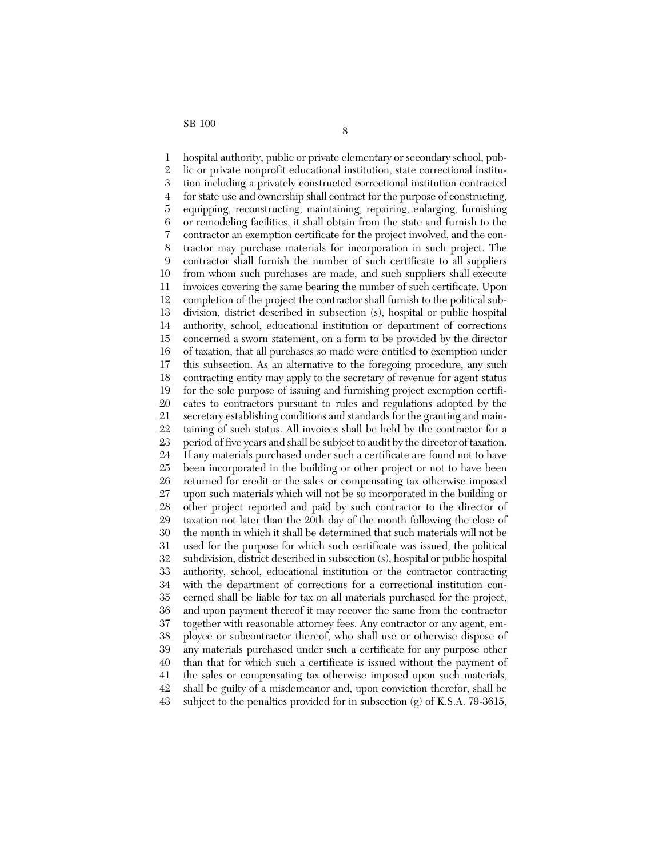1 2 3 4 5 6 7 8 9 10 11 12 13 14 15 16 17 18 19 20 21 22 23 24 25 26 27 28 29 30 31 32 33 34 35 36 37 38 39 40 41 42 43 hospital authority, public or private elementary or secondary school, public or private nonprofit educational institution, state correctional institution including a privately constructed correctional institution contracted for state use and ownership shall contract for the purpose of constructing, equipping, reconstructing, maintaining, repairing, enlarging, furnishing or remodeling facilities, it shall obtain from the state and furnish to the contractor an exemption certificate for the project involved, and the contractor may purchase materials for incorporation in such project. The contractor shall furnish the number of such certificate to all suppliers from whom such purchases are made, and such suppliers shall execute invoices covering the same bearing the number of such certificate. Upon completion of the project the contractor shall furnish to the political subdivision, district described in subsection (s), hospital or public hospital authority, school, educational institution or department of corrections concerned a sworn statement, on a form to be provided by the director of taxation, that all purchases so made were entitled to exemption under this subsection. As an alternative to the foregoing procedure, any such contracting entity may apply to the secretary of revenue for agent status for the sole purpose of issuing and furnishing project exemption certificates to contractors pursuant to rules and regulations adopted by the secretary establishing conditions and standards for the granting and maintaining of such status. All invoices shall be held by the contractor for a period of five years and shall be subject to audit by the director of taxation. If any materials purchased under such a certificate are found not to have been incorporated in the building or other project or not to have been returned for credit or the sales or compensating tax otherwise imposed upon such materials which will not be so incorporated in the building or other project reported and paid by such contractor to the director of taxation not later than the 20th day of the month following the close of the month in which it shall be determined that such materials will not be used for the purpose for which such certificate was issued, the political subdivision, district described in subsection (s), hospital or public hospital authority, school, educational institution or the contractor contracting with the department of corrections for a correctional institution concerned shall be liable for tax on all materials purchased for the project, and upon payment thereof it may recover the same from the contractor together with reasonable attorney fees. Any contractor or any agent, employee or subcontractor thereof, who shall use or otherwise dispose of any materials purchased under such a certificate for any purpose other than that for which such a certificate is issued without the payment of the sales or compensating tax otherwise imposed upon such materials, shall be guilty of a misdemeanor and, upon conviction therefor, shall be subject to the penalties provided for in subsection  $(g)$  of K.S.A. 79-3615,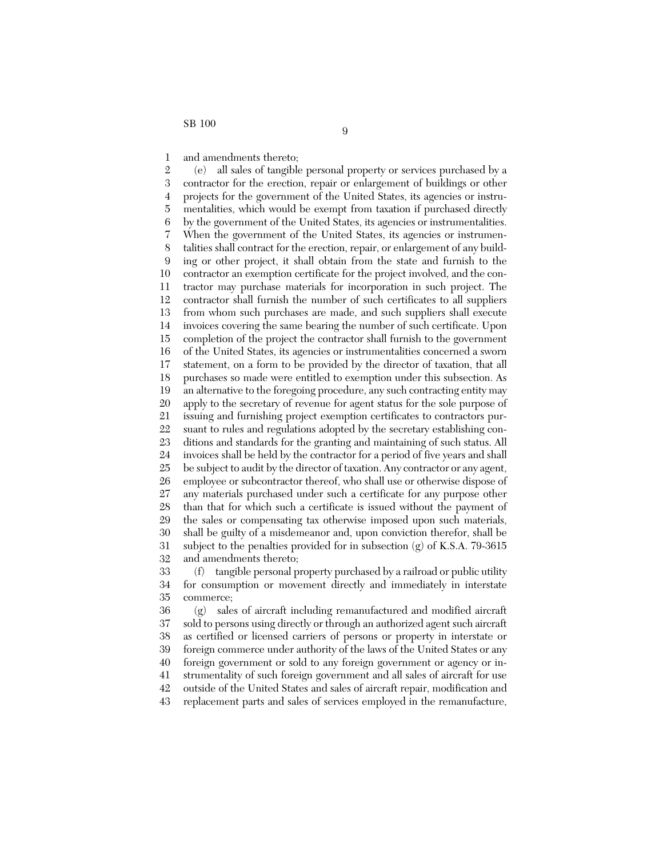1 and amendments thereto;

2 3 4 5 6 7 8 9 10 11 12 13 14 15 16 17 18 19 20 21 22 23 24 25 26 27 28 29 30 31 32 (e) all sales of tangible personal property or services purchased by a contractor for the erection, repair or enlargement of buildings or other projects for the government of the United States, its agencies or instrumentalities, which would be exempt from taxation if purchased directly by the government of the United States, its agencies or instrumentalities. When the government of the United States, its agencies or instrumentalities shall contract for the erection, repair, or enlargement of any building or other project, it shall obtain from the state and furnish to the contractor an exemption certificate for the project involved, and the contractor may purchase materials for incorporation in such project. The contractor shall furnish the number of such certificates to all suppliers from whom such purchases are made, and such suppliers shall execute invoices covering the same bearing the number of such certificate. Upon completion of the project the contractor shall furnish to the government of the United States, its agencies or instrumentalities concerned a sworn statement, on a form to be provided by the director of taxation, that all purchases so made were entitled to exemption under this subsection. As an alternative to the foregoing procedure, any such contracting entity may apply to the secretary of revenue for agent status for the sole purpose of issuing and furnishing project exemption certificates to contractors pursuant to rules and regulations adopted by the secretary establishing conditions and standards for the granting and maintaining of such status. All invoices shall be held by the contractor for a period of five years and shall be subject to audit by the director of taxation. Any contractor or any agent, employee or subcontractor thereof, who shall use or otherwise dispose of any materials purchased under such a certificate for any purpose other than that for which such a certificate is issued without the payment of the sales or compensating tax otherwise imposed upon such materials, shall be guilty of a misdemeanor and, upon conviction therefor, shall be subject to the penalties provided for in subsection (g) of K.S.A. 79-3615 and amendments thereto;

33 34 35 (f) tangible personal property purchased by a railroad or public utility for consumption or movement directly and immediately in interstate commerce;

36 37 38 39 40 41 42 43 (g) sales of aircraft including remanufactured and modified aircraft sold to persons using directly or through an authorized agent such aircraft as certified or licensed carriers of persons or property in interstate or foreign commerce under authority of the laws of the United States or any foreign government or sold to any foreign government or agency or instrumentality of such foreign government and all sales of aircraft for use outside of the United States and sales of aircraft repair, modification and replacement parts and sales of services employed in the remanufacture,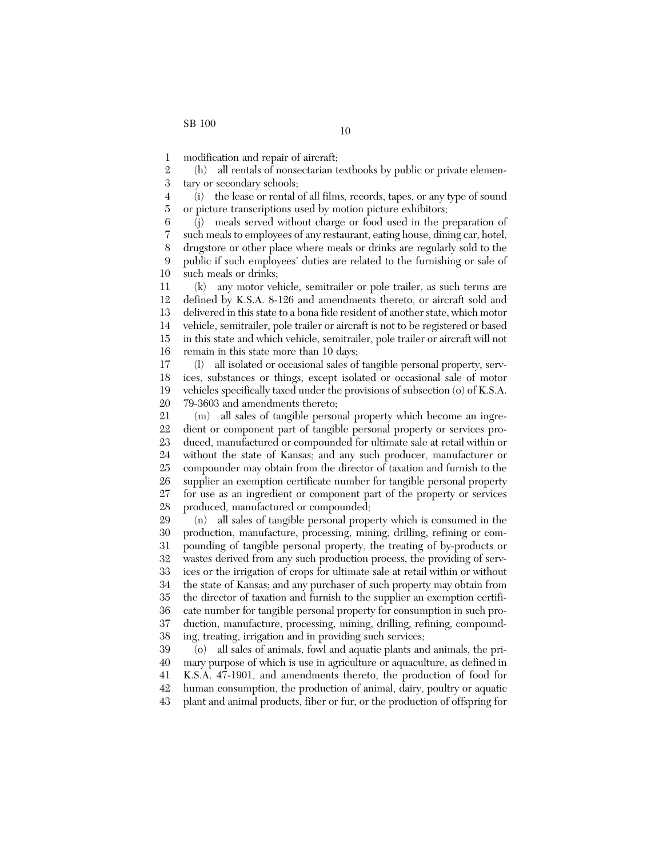1 modification and repair of aircraft;

2 3 (h) all rentals of nonsectarian textbooks by public or private elementary or secondary schools;

4 5 (i) the lease or rental of all films, records, tapes, or any type of sound or picture transcriptions used by motion picture exhibitors;

6 7 8 9 10 (j) meals served without charge or food used in the preparation of such meals to employees of any restaurant, eating house, dining car, hotel, drugstore or other place where meals or drinks are regularly sold to the public if such employees' duties are related to the furnishing or sale of such meals or drinks;

11 12 13 14 15 16 (k) any motor vehicle, semitrailer or pole trailer, as such terms are defined by K.S.A. 8-126 and amendments thereto, or aircraft sold and delivered in this state to a bona fide resident of another state, which motor vehicle, semitrailer, pole trailer or aircraft is not to be registered or based in this state and which vehicle, semitrailer, pole trailer or aircraft will not remain in this state more than 10 days;

17 18 19 20 (l) all isolated or occasional sales of tangible personal property, services, substances or things, except isolated or occasional sale of motor vehicles specifically taxed under the provisions of subsection (o) of K.S.A. 79-3603 and amendments thereto;

21 22 23 24 25 26 27 28 (m) all sales of tangible personal property which become an ingredient or component part of tangible personal property or services produced, manufactured or compounded for ultimate sale at retail within or without the state of Kansas; and any such producer, manufacturer or compounder may obtain from the director of taxation and furnish to the supplier an exemption certificate number for tangible personal property for use as an ingredient or component part of the property or services produced, manufactured or compounded;

29 30 31 32 33 34 35 36 37 38 (n) all sales of tangible personal property which is consumed in the production, manufacture, processing, mining, drilling, refining or compounding of tangible personal property, the treating of by-products or wastes derived from any such production process, the providing of services or the irrigation of crops for ultimate sale at retail within or without the state of Kansas; and any purchaser of such property may obtain from the director of taxation and furnish to the supplier an exemption certificate number for tangible personal property for consumption in such production, manufacture, processing, mining, drilling, refining, compounding, treating, irrigation and in providing such services;

39 40 41 42 43 (o) all sales of animals, fowl and aquatic plants and animals, the primary purpose of which is use in agriculture or aquaculture, as defined in K.S.A. 47-1901, and amendments thereto, the production of food for human consumption, the production of animal, dairy, poultry or aquatic plant and animal products, fiber or fur, or the production of offspring for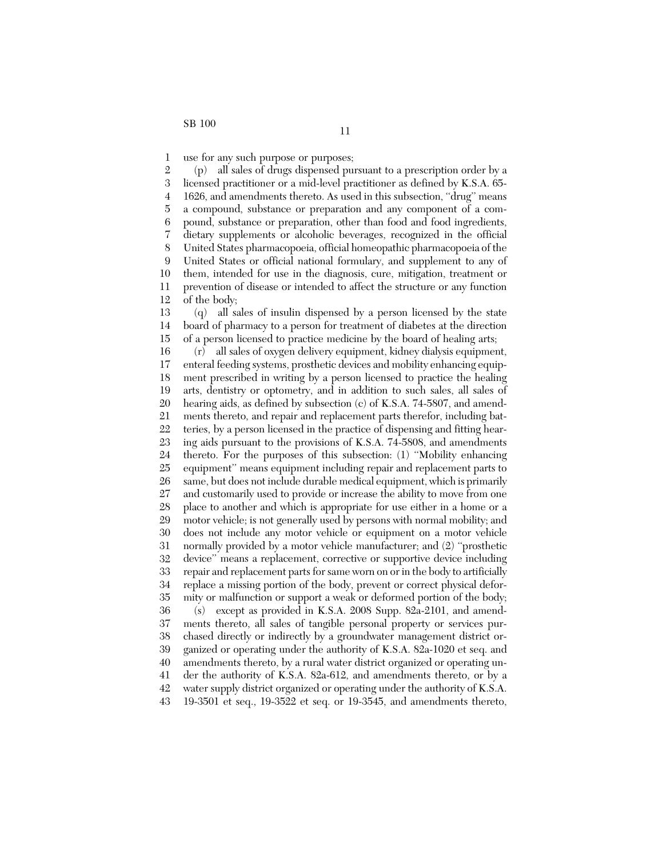1 use for any such purpose or purposes;

2 3 4 5 6 7 8 9 10 11 12 13 14 15 16 17 18 19 20 21 22 23 24 25 26 27 28 29 30 31 32 33 34 35 36 37 38 39 40 41 42 (p) all sales of drugs dispensed pursuant to a prescription order by a licensed practitioner or a mid-level practitioner as defined by K.S.A. 65- 1626, and amendments thereto. As used in this subsection, ''drug'' means a compound, substance or preparation and any component of a compound, substance or preparation, other than food and food ingredients, dietary supplements or alcoholic beverages, recognized in the official United States pharmacopoeia, official homeopathic pharmacopoeia of the United States or official national formulary, and supplement to any of them, intended for use in the diagnosis, cure, mitigation, treatment or prevention of disease or intended to affect the structure or any function of the body; (q) all sales of insulin dispensed by a person licensed by the state board of pharmacy to a person for treatment of diabetes at the direction of a person licensed to practice medicine by the board of healing arts; (r) all sales of oxygen delivery equipment, kidney dialysis equipment, enteral feeding systems, prosthetic devices and mobility enhancing equipment prescribed in writing by a person licensed to practice the healing arts, dentistry or optometry, and in addition to such sales, all sales of hearing aids, as defined by subsection (c) of K.S.A. 74-5807, and amendments thereto, and repair and replacement parts therefor, including batteries, by a person licensed in the practice of dispensing and fitting hearing aids pursuant to the provisions of K.S.A. 74-5808, and amendments thereto. For the purposes of this subsection: (1) ''Mobility enhancing equipment'' means equipment including repair and replacement parts to same, but does not include durable medical equipment, which is primarily and customarily used to provide or increase the ability to move from one place to another and which is appropriate for use either in a home or a motor vehicle; is not generally used by persons with normal mobility; and does not include any motor vehicle or equipment on a motor vehicle normally provided by a motor vehicle manufacturer; and (2) ''prosthetic device'' means a replacement, corrective or supportive device including repair and replacement parts for same worn on or in the body to artificially replace a missing portion of the body, prevent or correct physical deformity or malfunction or support a weak or deformed portion of the body; (s) except as provided in K.S.A. 2008 Supp. 82a-2101, and amendments thereto, all sales of tangible personal property or services purchased directly or indirectly by a groundwater management district organized or operating under the authority of K.S.A. 82a-1020 et seq. and amendments thereto, by a rural water district organized or operating under the authority of K.S.A. 82a-612, and amendments thereto, or by a water supply district organized or operating under the authority of K.S.A.

43 19-3501 et seq., 19-3522 et seq. or 19-3545, and amendments thereto,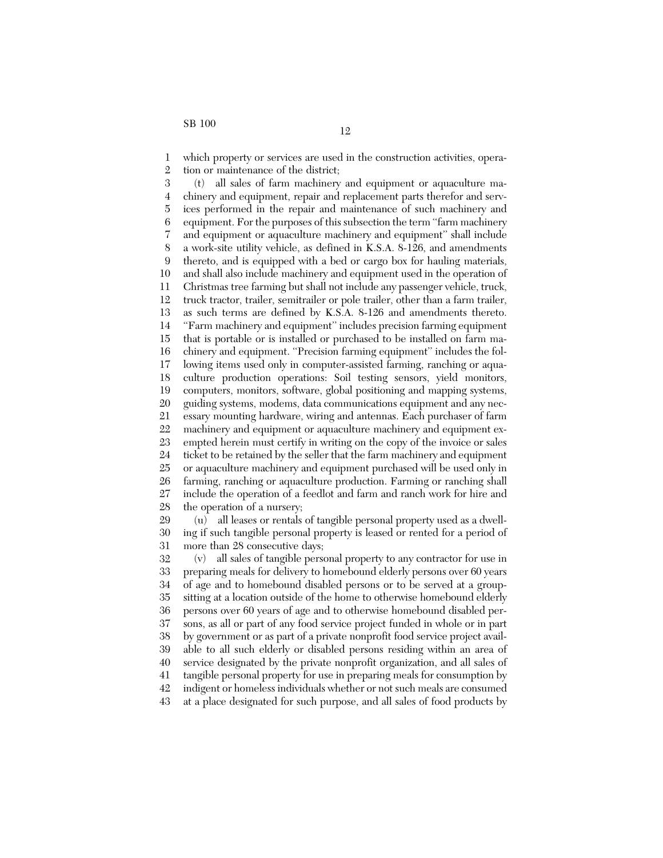1 2 which property or services are used in the construction activities, operation or maintenance of the district;

3 4 5 6 7 8 9 10 11 12 13 14 15 16 17 18 19 20 21 22 23 24 25 26 27 28 (t) all sales of farm machinery and equipment or aquaculture machinery and equipment, repair and replacement parts therefor and services performed in the repair and maintenance of such machinery and equipment. For the purposes of this subsection the term ''farm machinery and equipment or aquaculture machinery and equipment'' shall include a work-site utility vehicle, as defined in K.S.A. 8-126, and amendments thereto, and is equipped with a bed or cargo box for hauling materials, and shall also include machinery and equipment used in the operation of Christmas tree farming but shall not include any passenger vehicle, truck, truck tractor, trailer, semitrailer or pole trailer, other than a farm trailer, as such terms are defined by K.S.A. 8-126 and amendments thereto. ''Farm machinery and equipment'' includes precision farming equipment that is portable or is installed or purchased to be installed on farm machinery and equipment. ''Precision farming equipment'' includes the following items used only in computer-assisted farming, ranching or aquaculture production operations: Soil testing sensors, yield monitors, computers, monitors, software, global positioning and mapping systems, guiding systems, modems, data communications equipment and any necessary mounting hardware, wiring and antennas. Each purchaser of farm machinery and equipment or aquaculture machinery and equipment exempted herein must certify in writing on the copy of the invoice or sales ticket to be retained by the seller that the farm machinery and equipment or aquaculture machinery and equipment purchased will be used only in farming, ranching or aquaculture production. Farming or ranching shall include the operation of a feedlot and farm and ranch work for hire and the operation of a nursery;

29 30 31 (u) all leases or rentals of tangible personal property used as a dwelling if such tangible personal property is leased or rented for a period of more than 28 consecutive days;

32 33 34 35 36 37 38 39 40 41 42 43 (v) all sales of tangible personal property to any contractor for use in preparing meals for delivery to homebound elderly persons over 60 years of age and to homebound disabled persons or to be served at a groupsitting at a location outside of the home to otherwise homebound elderly persons over 60 years of age and to otherwise homebound disabled persons, as all or part of any food service project funded in whole or in part by government or as part of a private nonprofit food service project available to all such elderly or disabled persons residing within an area of service designated by the private nonprofit organization, and all sales of tangible personal property for use in preparing meals for consumption by indigent or homeless individuals whether or not such meals are consumed at a place designated for such purpose, and all sales of food products by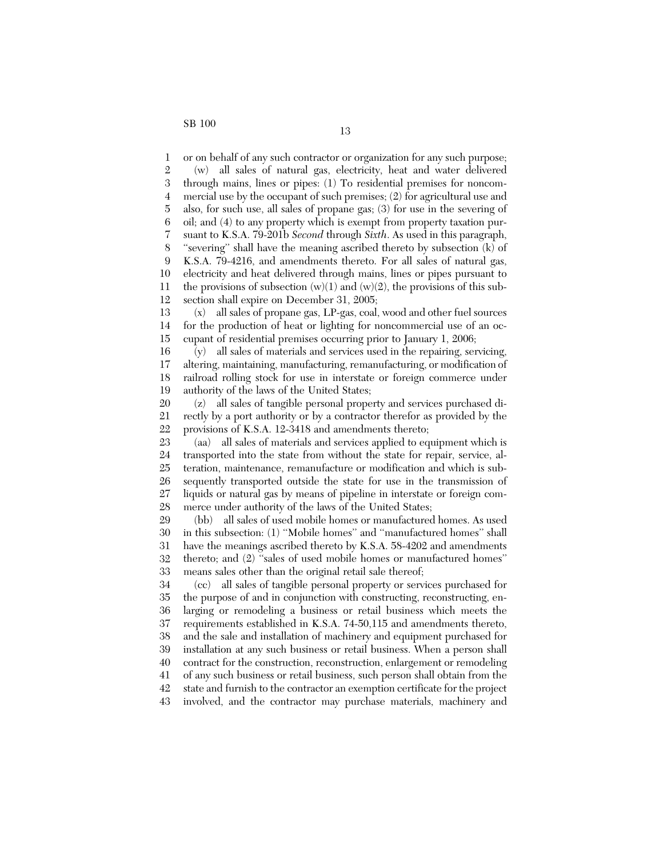1 2 3 4 5 6 7 8 9 10 11 12 or on behalf of any such contractor or organization for any such purpose; (w) all sales of natural gas, electricity, heat and water delivered through mains, lines or pipes: (1) To residential premises for noncommercial use by the occupant of such premises; (2) for agricultural use and also, for such use, all sales of propane gas; (3) for use in the severing of oil; and (4) to any property which is exempt from property taxation pursuant to K.S.A. 79-201b *Second* through *Sixth*. As used in this paragraph, ''severing'' shall have the meaning ascribed thereto by subsection (k) of K.S.A. 79-4216, and amendments thereto. For all sales of natural gas, electricity and heat delivered through mains, lines or pipes pursuant to the provisions of subsection  $(w)(1)$  and  $(w)(2)$ , the provisions of this subsection shall expire on December 31, 2005;

13 14 15 (x) all sales of propane gas, LP-gas, coal, wood and other fuel sources for the production of heat or lighting for noncommercial use of an occupant of residential premises occurring prior to January 1, 2006;

16 17 18 19 (y) all sales of materials and services used in the repairing, servicing, altering, maintaining, manufacturing, remanufacturing, or modification of railroad rolling stock for use in interstate or foreign commerce under authority of the laws of the United States;

20 21 22 (z) all sales of tangible personal property and services purchased directly by a port authority or by a contractor therefor as provided by the provisions of K.S.A. 12-3418 and amendments thereto;

23 24 25 26 27 28 (aa) all sales of materials and services applied to equipment which is transported into the state from without the state for repair, service, alteration, maintenance, remanufacture or modification and which is subsequently transported outside the state for use in the transmission of liquids or natural gas by means of pipeline in interstate or foreign commerce under authority of the laws of the United States;

29 30 31 32 33 (bb) all sales of used mobile homes or manufactured homes. As used in this subsection: (1) ''Mobile homes'' and ''manufactured homes'' shall have the meanings ascribed thereto by K.S.A. 58-4202 and amendments thereto; and (2) ''sales of used mobile homes or manufactured homes'' means sales other than the original retail sale thereof;

34 35 36 37 38 39 40 41 42 43 (cc) all sales of tangible personal property or services purchased for the purpose of and in conjunction with constructing, reconstructing, enlarging or remodeling a business or retail business which meets the requirements established in K.S.A. 74-50,115 and amendments thereto, and the sale and installation of machinery and equipment purchased for installation at any such business or retail business. When a person shall contract for the construction, reconstruction, enlargement or remodeling of any such business or retail business, such person shall obtain from the state and furnish to the contractor an exemption certificate for the project involved, and the contractor may purchase materials, machinery and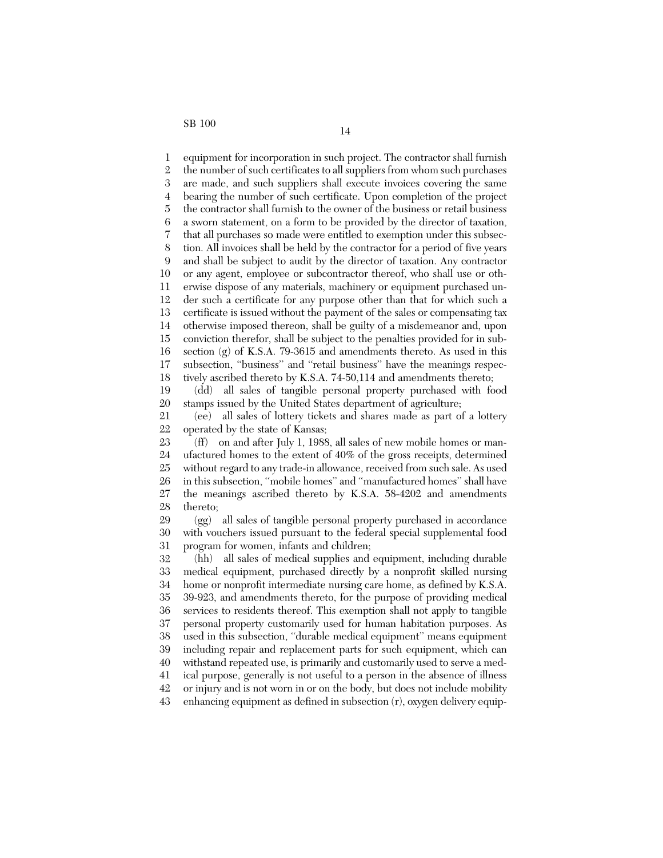1 2 3 4 5 6 7 8 9 10 11 12 13 14 15 16 17 18 equipment for incorporation in such project. The contractor shall furnish the number of such certificates to all suppliers from whom such purchases are made, and such suppliers shall execute invoices covering the same bearing the number of such certificate. Upon completion of the project the contractor shall furnish to the owner of the business or retail business a sworn statement, on a form to be provided by the director of taxation, that all purchases so made were entitled to exemption under this subsection. All invoices shall be held by the contractor for a period of five years and shall be subject to audit by the director of taxation. Any contractor or any agent, employee or subcontractor thereof, who shall use or otherwise dispose of any materials, machinery or equipment purchased under such a certificate for any purpose other than that for which such a certificate is issued without the payment of the sales or compensating tax otherwise imposed thereon, shall be guilty of a misdemeanor and, upon conviction therefor, shall be subject to the penalties provided for in subsection (g) of K.S.A. 79-3615 and amendments thereto. As used in this subsection, "business" and "retail business" have the meanings respectively ascribed thereto by K.S.A. 74-50,114 and amendments thereto;

19 20 (dd) all sales of tangible personal property purchased with food stamps issued by the United States department of agriculture;

21 22 (ee) all sales of lottery tickets and shares made as part of a lottery operated by the state of Kansas;

23 24 25 26 27 28 (ff) on and after July 1, 1988, all sales of new mobile homes or manufactured homes to the extent of 40% of the gross receipts, determined without regard to any trade-in allowance, received from such sale. As used in this subsection, ''mobile homes'' and ''manufactured homes'' shall have the meanings ascribed thereto by K.S.A. 58-4202 and amendments thereto;

29 30 31 (gg) all sales of tangible personal property purchased in accordance with vouchers issued pursuant to the federal special supplemental food program for women, infants and children;

32 33 34 35 36 37 38 39 40 41 42 43 (hh) all sales of medical supplies and equipment, including durable medical equipment, purchased directly by a nonprofit skilled nursing home or nonprofit intermediate nursing care home, as defined by K.S.A. 39-923, and amendments thereto, for the purpose of providing medical services to residents thereof. This exemption shall not apply to tangible personal property customarily used for human habitation purposes. As used in this subsection, ''durable medical equipment'' means equipment including repair and replacement parts for such equipment, which can withstand repeated use, is primarily and customarily used to serve a medical purpose, generally is not useful to a person in the absence of illness or injury and is not worn in or on the body, but does not include mobility enhancing equipment as defined in subsection (r), oxygen delivery equip-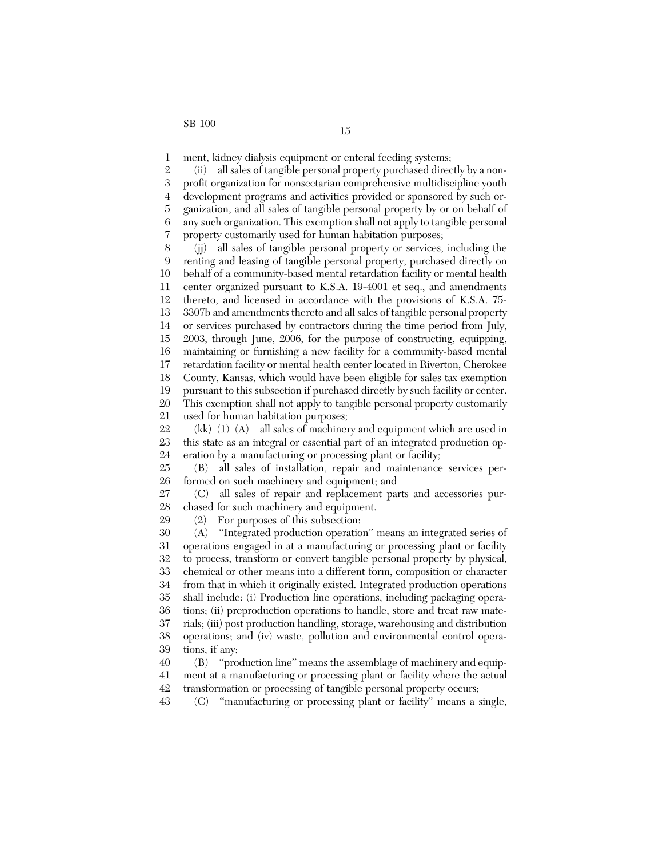1 ment, kidney dialysis equipment or enteral feeding systems;

2 3 4 5 6 7 (ii) all sales of tangible personal property purchased directly by a nonprofit organization for nonsectarian comprehensive multidiscipline youth development programs and activities provided or sponsored by such organization, and all sales of tangible personal property by or on behalf of any such organization. This exemption shall not apply to tangible personal property customarily used for human habitation purposes;

8 9 10 11 12 13 14 15 16 17 18 19 20 21 (jj) all sales of tangible personal property or services, including the renting and leasing of tangible personal property, purchased directly on behalf of a community-based mental retardation facility or mental health center organized pursuant to K.S.A. 19-4001 et seq., and amendments thereto, and licensed in accordance with the provisions of K.S.A. 75- 3307b and amendments thereto and all sales of tangible personal property or services purchased by contractors during the time period from July, 2003, through June, 2006, for the purpose of constructing, equipping, maintaining or furnishing a new facility for a community-based mental retardation facility or mental health center located in Riverton, Cherokee County, Kansas, which would have been eligible for sales tax exemption pursuant to this subsection if purchased directly by such facility or center. This exemption shall not apply to tangible personal property customarily used for human habitation purposes;

22 23 24 (kk) (1) (A) all sales of machinery and equipment which are used in this state as an integral or essential part of an integrated production operation by a manufacturing or processing plant or facility;

25 26 (B) all sales of installation, repair and maintenance services performed on such machinery and equipment; and

27 28 (C) all sales of repair and replacement parts and accessories purchased for such machinery and equipment.

(2) For purposes of this subsection:

29

30 31 32 33 34 35 36 37 38 39 (A) ''Integrated production operation'' means an integrated series of operations engaged in at a manufacturing or processing plant or facility to process, transform or convert tangible personal property by physical, chemical or other means into a different form, composition or character from that in which it originally existed. Integrated production operations shall include: (i) Production line operations, including packaging operations; (ii) preproduction operations to handle, store and treat raw materials; (iii) post production handling, storage, warehousing and distribution operations; and (iv) waste, pollution and environmental control operations, if any;

40 41 42 (B) ''production line'' means the assemblage of machinery and equipment at a manufacturing or processing plant or facility where the actual transformation or processing of tangible personal property occurs;

43 (C) ''manufacturing or processing plant or facility'' means a single,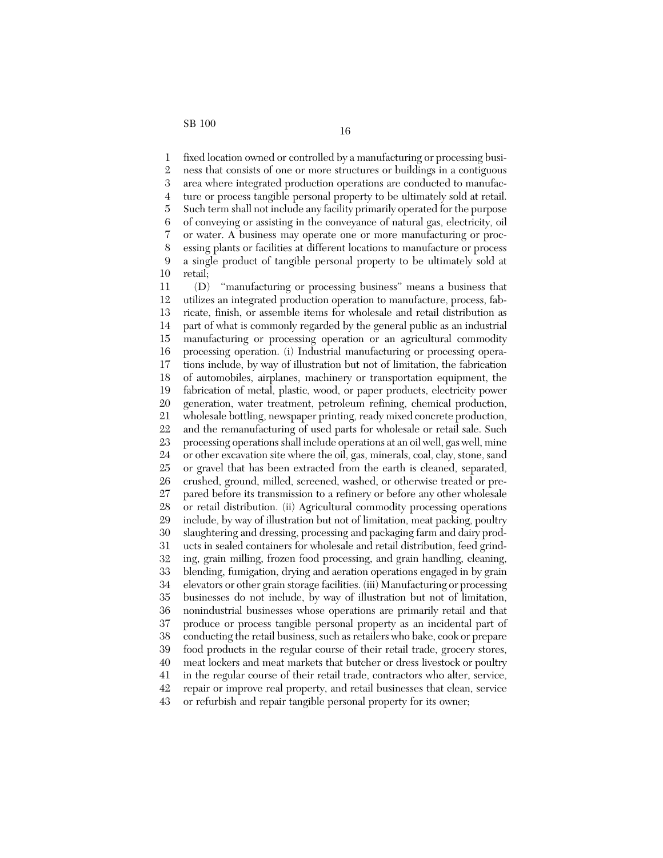1 2 3 4 5 6 7 8 9 10 fixed location owned or controlled by a manufacturing or processing business that consists of one or more structures or buildings in a contiguous area where integrated production operations are conducted to manufacture or process tangible personal property to be ultimately sold at retail. Such term shall not include any facility primarily operated for the purpose of conveying or assisting in the conveyance of natural gas, electricity, oil or water. A business may operate one or more manufacturing or processing plants or facilities at different locations to manufacture or process a single product of tangible personal property to be ultimately sold at retail;

11 12 13 14 15 16 17 18 19 20 21 22 23 24 25 26 27 28 29 30 31 32 33 34 35 36 37 38 39 40 41 42 43 (D) ''manufacturing or processing business'' means a business that utilizes an integrated production operation to manufacture, process, fabricate, finish, or assemble items for wholesale and retail distribution as part of what is commonly regarded by the general public as an industrial manufacturing or processing operation or an agricultural commodity processing operation. (i) Industrial manufacturing or processing operations include, by way of illustration but not of limitation, the fabrication of automobiles, airplanes, machinery or transportation equipment, the fabrication of metal, plastic, wood, or paper products, electricity power generation, water treatment, petroleum refining, chemical production, wholesale bottling, newspaper printing, ready mixed concrete production, and the remanufacturing of used parts for wholesale or retail sale. Such processing operations shall include operations at an oil well, gas well, mine or other excavation site where the oil, gas, minerals, coal, clay, stone, sand or gravel that has been extracted from the earth is cleaned, separated, crushed, ground, milled, screened, washed, or otherwise treated or prepared before its transmission to a refinery or before any other wholesale or retail distribution. (ii) Agricultural commodity processing operations include, by way of illustration but not of limitation, meat packing, poultry slaughtering and dressing, processing and packaging farm and dairy products in sealed containers for wholesale and retail distribution, feed grinding, grain milling, frozen food processing, and grain handling, cleaning, blending, fumigation, drying and aeration operations engaged in by grain elevators or other grain storage facilities. (iii) Manufacturing or processing businesses do not include, by way of illustration but not of limitation, nonindustrial businesses whose operations are primarily retail and that produce or process tangible personal property as an incidental part of conducting the retail business, such as retailers who bake, cook or prepare food products in the regular course of their retail trade, grocery stores, meat lockers and meat markets that butcher or dress livestock or poultry in the regular course of their retail trade, contractors who alter, service, repair or improve real property, and retail businesses that clean, service or refurbish and repair tangible personal property for its owner;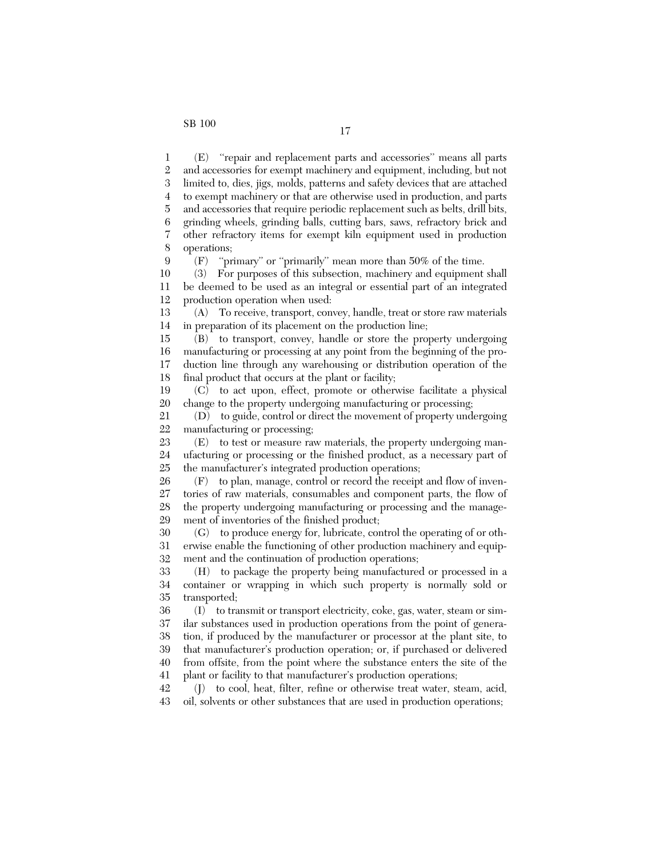$\mathbf{Q}$ 

1 2 3 4 5 6 7 8 (E) ''repair and replacement parts and accessories'' means all parts and accessories for exempt machinery and equipment, including, but not limited to, dies, jigs, molds, patterns and safety devices that are attached to exempt machinery or that are otherwise used in production, and parts and accessories that require periodic replacement such as belts, drill bits, grinding wheels, grinding balls, cutting bars, saws, refractory brick and other refractory items for exempt kiln equipment used in production operations;

(F) ''primary'' or ''primarily'' mean more than 50% of the time.

10 11 12 (3) For purposes of this subsection, machinery and equipment shall be deemed to be used as an integral or essential part of an integrated production operation when used:

13 14 (A) To receive, transport, convey, handle, treat or store raw materials in preparation of its placement on the production line;

15 16 17 18 (B) to transport, convey, handle or store the property undergoing manufacturing or processing at any point from the beginning of the production line through any warehousing or distribution operation of the final product that occurs at the plant or facility;

19 20 (C) to act upon, effect, promote or otherwise facilitate a physical change to the property undergoing manufacturing or processing;

21 22 (D) to guide, control or direct the movement of property undergoing manufacturing or processing;

23 24 25 (E) to test or measure raw materials, the property undergoing manufacturing or processing or the finished product, as a necessary part of the manufacturer's integrated production operations;

26 27 28 29 (F) to plan, manage, control or record the receipt and flow of inventories of raw materials, consumables and component parts, the flow of the property undergoing manufacturing or processing and the management of inventories of the finished product;

30 31 32 (G) to produce energy for, lubricate, control the operating of or otherwise enable the functioning of other production machinery and equipment and the continuation of production operations;

33 34 35 (H) to package the property being manufactured or processed in a container or wrapping in which such property is normally sold or transported;

36 37 38 39 40 41 (I) to transmit or transport electricity, coke, gas, water, steam or similar substances used in production operations from the point of generation, if produced by the manufacturer or processor at the plant site, to that manufacturer's production operation; or, if purchased or delivered from offsite, from the point where the substance enters the site of the plant or facility to that manufacturer's production operations;

42 43 (J) to cool, heat, filter, refine or otherwise treat water, steam, acid, oil, solvents or other substances that are used in production operations;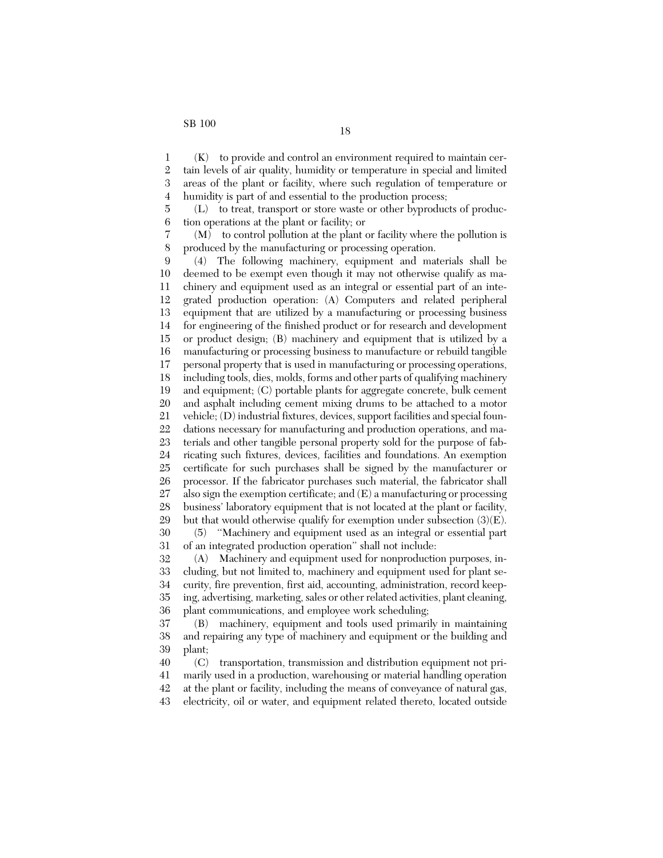7 8

1 2 3 4 (K) to provide and control an environment required to maintain certain levels of air quality, humidity or temperature in special and limited areas of the plant or facility, where such regulation of temperature or humidity is part of and essential to the production process;

5 6 (L) to treat, transport or store waste or other byproducts of production operations at the plant or facility; or

(M) to control pollution at the plant or facility where the pollution is produced by the manufacturing or processing operation.

9 10 11 12 13 14 15 16 17 18 19 20 21 22 23 24 25 26 27 28 29 30 31 (4) The following machinery, equipment and materials shall be deemed to be exempt even though it may not otherwise qualify as machinery and equipment used as an integral or essential part of an integrated production operation: (A) Computers and related peripheral equipment that are utilized by a manufacturing or processing business for engineering of the finished product or for research and development or product design; (B) machinery and equipment that is utilized by a manufacturing or processing business to manufacture or rebuild tangible personal property that is used in manufacturing or processing operations, including tools, dies, molds, forms and other parts of qualifying machinery and equipment; (C) portable plants for aggregate concrete, bulk cement and asphalt including cement mixing drums to be attached to a motor vehicle; (D) industrial fixtures, devices, support facilities and special foundations necessary for manufacturing and production operations, and materials and other tangible personal property sold for the purpose of fabricating such fixtures, devices, facilities and foundations. An exemption certificate for such purchases shall be signed by the manufacturer or processor. If the fabricator purchases such material, the fabricator shall also sign the exemption certificate; and  $(E)$  a manufacturing or processing business' laboratory equipment that is not located at the plant or facility, but that would otherwise qualify for exemption under subsection  $(3)(E)$ . (5) ''Machinery and equipment used as an integral or essential part of an integrated production operation'' shall not include:

32 33 34 35 36 (A) Machinery and equipment used for nonproduction purposes, including, but not limited to, machinery and equipment used for plant security, fire prevention, first aid, accounting, administration, record keeping, advertising, marketing, sales or other related activities, plant cleaning, plant communications, and employee work scheduling;

37 38 39 (B) machinery, equipment and tools used primarily in maintaining and repairing any type of machinery and equipment or the building and plant;

40 41 42 43 (C) transportation, transmission and distribution equipment not primarily used in a production, warehousing or material handling operation at the plant or facility, including the means of conveyance of natural gas, electricity, oil or water, and equipment related thereto, located outside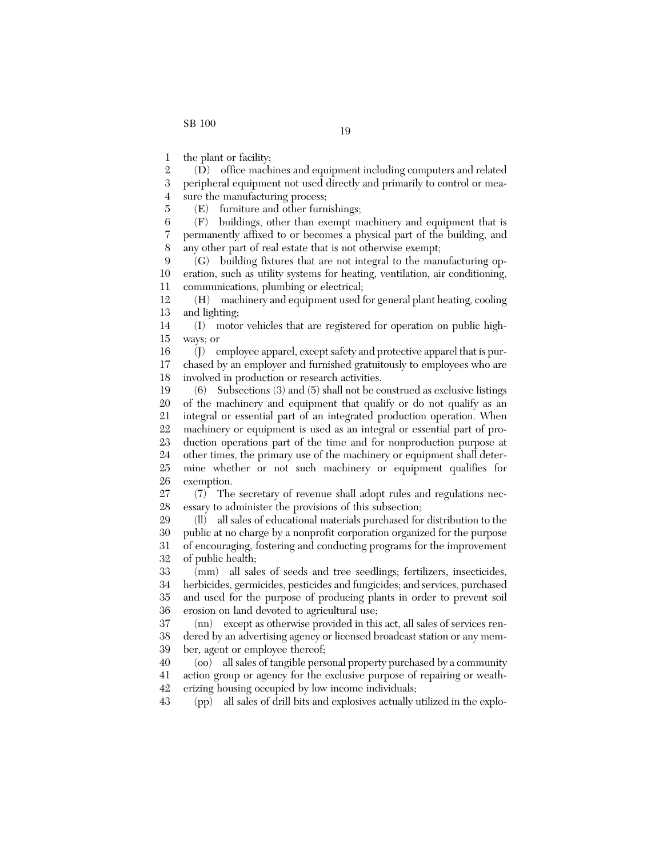5

1 the plant or facility;

2 3 4 (D) office machines and equipment including computers and related peripheral equipment not used directly and primarily to control or measure the manufacturing process;

(E) furniture and other furnishings;

6 7 8 (F) buildings, other than exempt machinery and equipment that is permanently affixed to or becomes a physical part of the building, and any other part of real estate that is not otherwise exempt;

 $\mathbf{Q}$ 10 11 (G) building fixtures that are not integral to the manufacturing operation, such as utility systems for heating, ventilation, air conditioning, communications, plumbing or electrical;

12 13 (H) machinery and equipment used for general plant heating, cooling and lighting;

14 15 (I) motor vehicles that are registered for operation on public highways; or

16 17 18 (J) employee apparel, except safety and protective apparel that is purchased by an employer and furnished gratuitously to employees who are involved in production or research activities.

19 20 21 22 23 24 25 26 (6) Subsections (3) and (5) shall not be construed as exclusive listings of the machinery and equipment that qualify or do not qualify as an integral or essential part of an integrated production operation. When machinery or equipment is used as an integral or essential part of production operations part of the time and for nonproduction purpose at other times, the primary use of the machinery or equipment shall determine whether or not such machinery or equipment qualifies for exemption.

27 28 (7) The secretary of revenue shall adopt rules and regulations necessary to administer the provisions of this subsection;

29 30 31 32 (ll) all sales of educational materials purchased for distribution to the public at no charge by a nonprofit corporation organized for the purpose of encouraging, fostering and conducting programs for the improvement of public health;

33 34 35 36 (mm) all sales of seeds and tree seedlings; fertilizers, insecticides, herbicides, germicides, pesticides and fungicides; and services, purchased and used for the purpose of producing plants in order to prevent soil erosion on land devoted to agricultural use;

37 38 39 (nn) except as otherwise provided in this act, all sales of services rendered by an advertising agency or licensed broadcast station or any member, agent or employee thereof;

40 41 42 (oo) all sales of tangible personal property purchased by a community action group or agency for the exclusive purpose of repairing or weatherizing housing occupied by low income individuals;

43 (pp) all sales of drill bits and explosives actually utilized in the explo-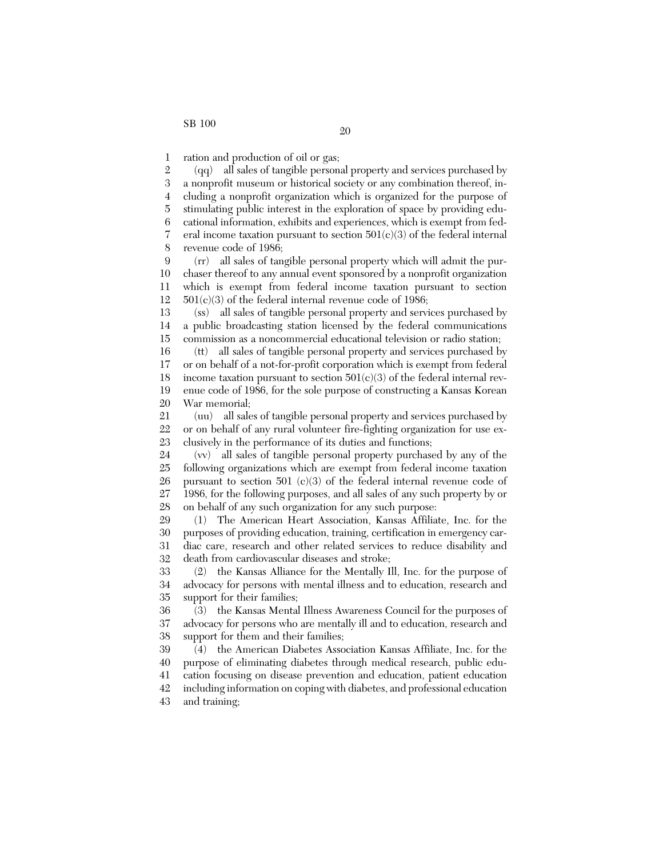1 ration and production of oil or gas;

2 3 4 5 6 7 8 (qq) all sales of tangible personal property and services purchased by a nonprofit museum or historical society or any combination thereof, including a nonprofit organization which is organized for the purpose of stimulating public interest in the exploration of space by providing educational information, exhibits and experiences, which is exempt from federal income taxation pursuant to section  $501(c)(3)$  of the federal internal revenue code of 1986;

 $\mathbf{Q}$ 10 11 12 (rr) all sales of tangible personal property which will admit the purchaser thereof to any annual event sponsored by a nonprofit organization which is exempt from federal income taxation pursuant to section  $501(c)(3)$  of the federal internal revenue code of 1986;

13 14 15 (ss) all sales of tangible personal property and services purchased by a public broadcasting station licensed by the federal communications commission as a noncommercial educational television or radio station;

16 17 18 19 20 (tt) all sales of tangible personal property and services purchased by or on behalf of a not-for-profit corporation which is exempt from federal income taxation pursuant to section  $501(c)(3)$  of the federal internal revenue code of 1986, for the sole purpose of constructing a Kansas Korean War memorial;

21 22 23 (uu) all sales of tangible personal property and services purchased by or on behalf of any rural volunteer fire-fighting organization for use exclusively in the performance of its duties and functions;

24 25 26 27 28 (vv) all sales of tangible personal property purchased by any of the following organizations which are exempt from federal income taxation pursuant to section 501 (c)(3) of the federal internal revenue code of 1986, for the following purposes, and all sales of any such property by or on behalf of any such organization for any such purpose:

29 30 31 32 (1) The American Heart Association, Kansas Affiliate, Inc. for the purposes of providing education, training, certification in emergency cardiac care, research and other related services to reduce disability and death from cardiovascular diseases and stroke;

33 34 35 (2) the Kansas Alliance for the Mentally Ill, Inc. for the purpose of advocacy for persons with mental illness and to education, research and support for their families;

36 37 38 (3) the Kansas Mental Illness Awareness Council for the purposes of advocacy for persons who are mentally ill and to education, research and support for them and their families;

39 40 41 42 (4) the American Diabetes Association Kansas Affiliate, Inc. for the purpose of eliminating diabetes through medical research, public education focusing on disease prevention and education, patient education including information on coping with diabetes, and professional education

43 and training;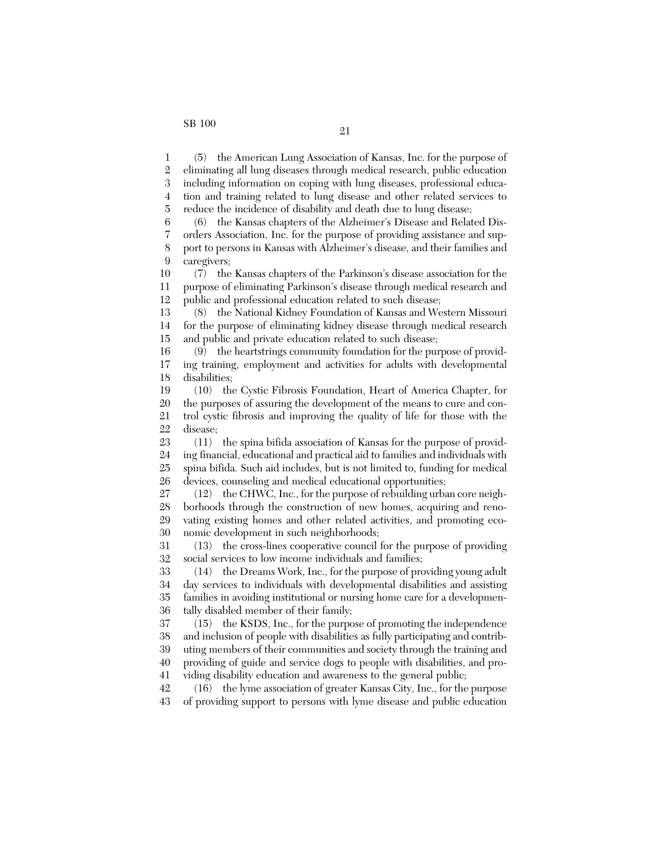1 2 3 4 5 (5) the American Lung Association of Kansas, Inc. for the purpose of eliminating all lung diseases through medical research, public education including information on coping with lung diseases, professional education and training related to lung disease and other related services to

reduce the incidence of disability and death due to lung disease;

6 7 8 9 (6) the Kansas chapters of the Alzheimer's Disease and Related Disorders Association, Inc. for the purpose of providing assistance and support to persons in Kansas with Alzheimer's disease, and their families and caregivers;

10 11 12 (7) the Kansas chapters of the Parkinson's disease association for the purpose of eliminating Parkinson's disease through medical research and public and professional education related to such disease;

13 14 15 (8) the National Kidney Foundation of Kansas and Western Missouri for the purpose of eliminating kidney disease through medical research and public and private education related to such disease;

16 17 18 (9) the heartstrings community foundation for the purpose of providing training, employment and activities for adults with developmental disabilities;

19 20 21 22 (10) the Cystic Fibrosis Foundation, Heart of America Chapter, for the purposes of assuring the development of the means to cure and control cystic fibrosis and improving the quality of life for those with the disease;

23 24 25 26 (11) the spina bifida association of Kansas for the purpose of providing financial, educational and practical aid to families and individuals with spina bifida. Such aid includes, but is not limited to, funding for medical devices, counseling and medical educational opportunities;

27 28 29 30 (12) the CHWC, Inc., for the purpose of rebuilding urban core neighborhoods through the construction of new homes, acquiring and renovating existing homes and other related activities, and promoting economic development in such neighborhoods;

31 32 (13) the cross-lines cooperative council for the purpose of providing social services to low income individuals and families;

33 34 35 36 (14) the Dreams Work, Inc., for the purpose of providing young adult day services to individuals with developmental disabilities and assisting families in avoiding institutional or nursing home care for a developmentally disabled member of their family;

37 38 39 40 41 (15) the KSDS, Inc., for the purpose of promoting the independence and inclusion of people with disabilities as fully participating and contributing members of their communities and society through the training and providing of guide and service dogs to people with disabilities, and providing disability education and awareness to the general public;

42 43 (16) the lyme association of greater Kansas City, Inc., for the purpose of providing support to persons with lyme disease and public education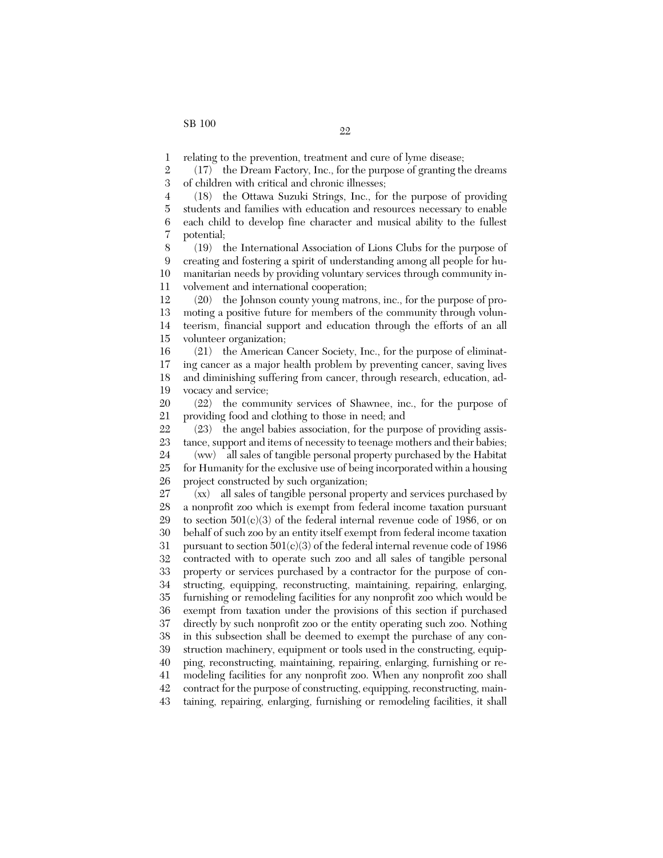43

1 relating to the prevention, treatment and cure of lyme disease;

2 3 (17) the Dream Factory, Inc., for the purpose of granting the dreams of children with critical and chronic illnesses;

4 5 6 7 (18) the Ottawa Suzuki Strings, Inc., for the purpose of providing students and families with education and resources necessary to enable each child to develop fine character and musical ability to the fullest potential;

8 9 10 11 (19) the International Association of Lions Clubs for the purpose of creating and fostering a spirit of understanding among all people for humanitarian needs by providing voluntary services through community involvement and international cooperation;

12 13 14 15 (20) the Johnson county young matrons, inc., for the purpose of promoting a positive future for members of the community through volunteerism, financial support and education through the efforts of an all volunteer organization;

16 17 18 19 (21) the American Cancer Society, Inc., for the purpose of eliminating cancer as a major health problem by preventing cancer, saving lives and diminishing suffering from cancer, through research, education, advocacy and service;

20 21 (22) the community services of Shawnee, inc., for the purpose of providing food and clothing to those in need; and

22 23 (23) the angel babies association, for the purpose of providing assistance, support and items of necessity to teenage mothers and their babies;

24 25 26 (ww) all sales of tangible personal property purchased by the Habitat for Humanity for the exclusive use of being incorporated within a housing project constructed by such organization;

27 28 29 30 31 32 33 34 35 36 37 38 39 40 41 42 (xx) all sales of tangible personal property and services purchased by a nonprofit zoo which is exempt from federal income taxation pursuant to section  $501(c)(3)$  of the federal internal revenue code of 1986, or on behalf of such zoo by an entity itself exempt from federal income taxation pursuant to section  $501(c)(3)$  of the federal internal revenue code of 1986 contracted with to operate such zoo and all sales of tangible personal property or services purchased by a contractor for the purpose of constructing, equipping, reconstructing, maintaining, repairing, enlarging, furnishing or remodeling facilities for any nonprofit zoo which would be exempt from taxation under the provisions of this section if purchased directly by such nonprofit zoo or the entity operating such zoo. Nothing in this subsection shall be deemed to exempt the purchase of any construction machinery, equipment or tools used in the constructing, equipping, reconstructing, maintaining, repairing, enlarging, furnishing or remodeling facilities for any nonprofit zoo. When any nonprofit zoo shall contract for the purpose of constructing, equipping, reconstructing, main-

taining, repairing, enlarging, furnishing or remodeling facilities, it shall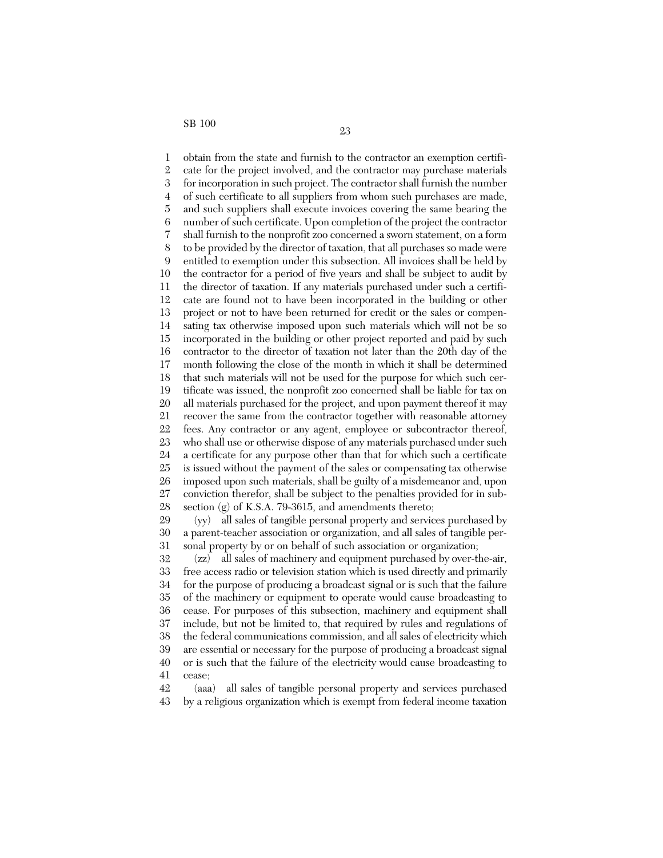1 2 3 4 5 6 7 8 9 10 11 12 13 14 15 16 17 18 19 20 21 22 23 24 25 26 27 28 obtain from the state and furnish to the contractor an exemption certificate for the project involved, and the contractor may purchase materials for incorporation in such project. The contractor shall furnish the number of such certificate to all suppliers from whom such purchases are made, and such suppliers shall execute invoices covering the same bearing the number of such certificate. Upon completion of the project the contractor shall furnish to the nonprofit zoo concerned a sworn statement, on a form to be provided by the director of taxation, that all purchases so made were entitled to exemption under this subsection. All invoices shall be held by the contractor for a period of five years and shall be subject to audit by the director of taxation. If any materials purchased under such a certificate are found not to have been incorporated in the building or other project or not to have been returned for credit or the sales or compensating tax otherwise imposed upon such materials which will not be so incorporated in the building or other project reported and paid by such contractor to the director of taxation not later than the 20th day of the month following the close of the month in which it shall be determined that such materials will not be used for the purpose for which such certificate was issued, the nonprofit zoo concerned shall be liable for tax on all materials purchased for the project, and upon payment thereof it may recover the same from the contractor together with reasonable attorney fees. Any contractor or any agent, employee or subcontractor thereof, who shall use or otherwise dispose of any materials purchased under such a certificate for any purpose other than that for which such a certificate is issued without the payment of the sales or compensating tax otherwise imposed upon such materials, shall be guilty of a misdemeanor and, upon conviction therefor, shall be subject to the penalties provided for in subsection  $(g)$  of K.S.A. 79-3615, and amendments thereto;

29 30 31 (yy) all sales of tangible personal property and services purchased by a parent-teacher association or organization, and all sales of tangible personal property by or on behalf of such association or organization;

32 33 34 35 36 37 38 39 40 41 (zz) all sales of machinery and equipment purchased by over-the-air, free access radio or television station which is used directly and primarily for the purpose of producing a broadcast signal or is such that the failure of the machinery or equipment to operate would cause broadcasting to cease. For purposes of this subsection, machinery and equipment shall include, but not be limited to, that required by rules and regulations of the federal communications commission, and all sales of electricity which are essential or necessary for the purpose of producing a broadcast signal or is such that the failure of the electricity would cause broadcasting to cease;

42 43 (aaa) all sales of tangible personal property and services purchased by a religious organization which is exempt from federal income taxation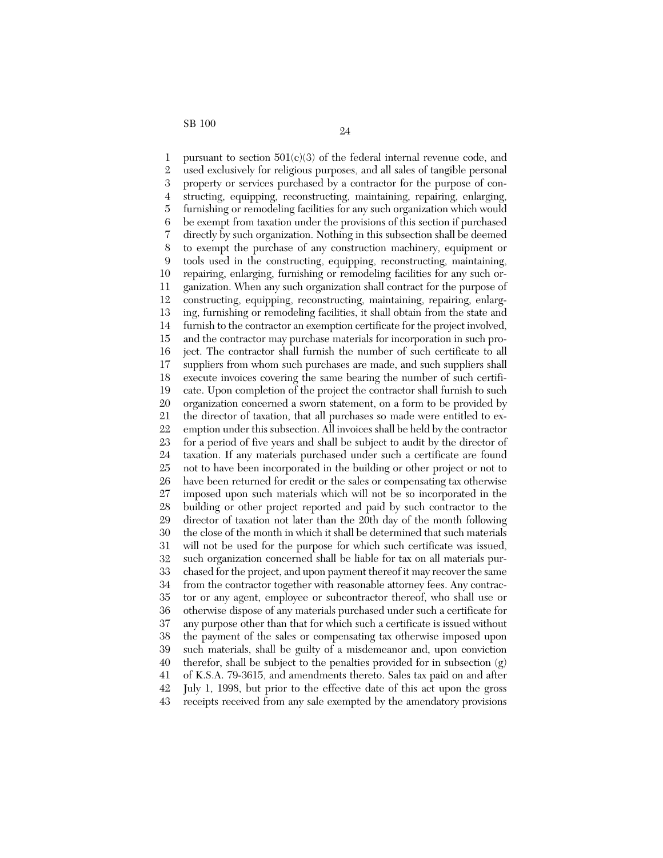1 2 3 4 5 6 7 8 9 10 11 12 13 14 15 16 17 18 19 20 21 22 23 24 25 26 27 28 29 30 31 32 33 34 35 36 37 38 39 40 41 42 43 pursuant to section  $501(c)(3)$  of the federal internal revenue code, and used exclusively for religious purposes, and all sales of tangible personal property or services purchased by a contractor for the purpose of constructing, equipping, reconstructing, maintaining, repairing, enlarging, furnishing or remodeling facilities for any such organization which would be exempt from taxation under the provisions of this section if purchased directly by such organization. Nothing in this subsection shall be deemed to exempt the purchase of any construction machinery, equipment or tools used in the constructing, equipping, reconstructing, maintaining, repairing, enlarging, furnishing or remodeling facilities for any such organization. When any such organization shall contract for the purpose of constructing, equipping, reconstructing, maintaining, repairing, enlarging, furnishing or remodeling facilities, it shall obtain from the state and furnish to the contractor an exemption certificate for the project involved, and the contractor may purchase materials for incorporation in such project. The contractor shall furnish the number of such certificate to all suppliers from whom such purchases are made, and such suppliers shall execute invoices covering the same bearing the number of such certificate. Upon completion of the project the contractor shall furnish to such organization concerned a sworn statement, on a form to be provided by the director of taxation, that all purchases so made were entitled to exemption under this subsection. All invoices shall be held by the contractor for a period of five years and shall be subject to audit by the director of taxation. If any materials purchased under such a certificate are found not to have been incorporated in the building or other project or not to have been returned for credit or the sales or compensating tax otherwise imposed upon such materials which will not be so incorporated in the building or other project reported and paid by such contractor to the director of taxation not later than the 20th day of the month following the close of the month in which it shall be determined that such materials will not be used for the purpose for which such certificate was issued, such organization concerned shall be liable for tax on all materials purchased for the project, and upon payment thereof it may recover the same from the contractor together with reasonable attorney fees. Any contractor or any agent, employee or subcontractor thereof, who shall use or otherwise dispose of any materials purchased under such a certificate for any purpose other than that for which such a certificate is issued without the payment of the sales or compensating tax otherwise imposed upon such materials, shall be guilty of a misdemeanor and, upon conviction therefor, shall be subject to the penalties provided for in subsection (g) of K.S.A. 79-3615, and amendments thereto. Sales tax paid on and after July 1, 1998, but prior to the effective date of this act upon the gross receipts received from any sale exempted by the amendatory provisions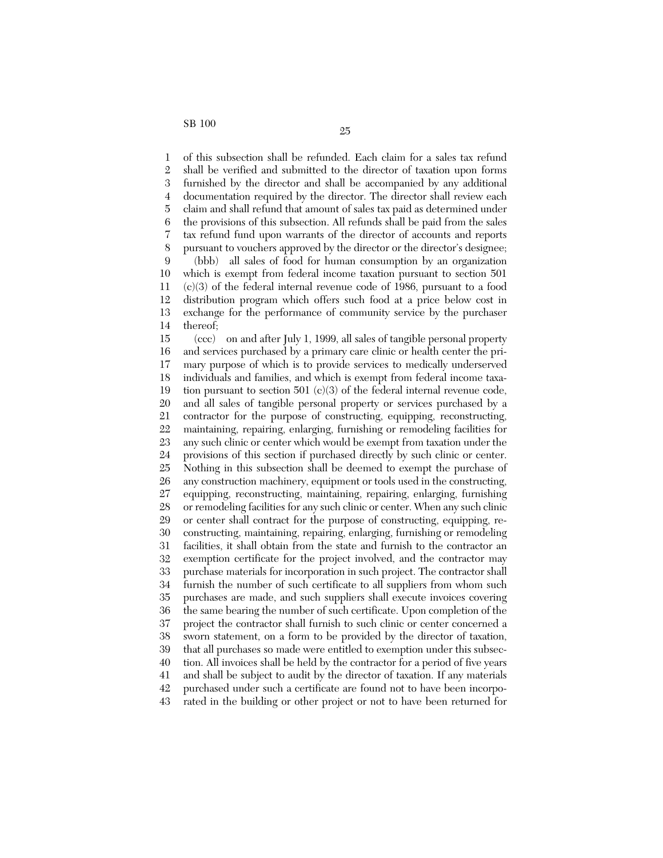1 2 3 4 5 6 7 8 9 10 11 12 13 14 of this subsection shall be refunded. Each claim for a sales tax refund shall be verified and submitted to the director of taxation upon forms furnished by the director and shall be accompanied by any additional documentation required by the director. The director shall review each claim and shall refund that amount of sales tax paid as determined under the provisions of this subsection. All refunds shall be paid from the sales tax refund fund upon warrants of the director of accounts and reports pursuant to vouchers approved by the director or the director's designee; (bbb) all sales of food for human consumption by an organization which is exempt from federal income taxation pursuant to section 501  $(c)(3)$  of the federal internal revenue code of 1986, pursuant to a food distribution program which offers such food at a price below cost in exchange for the performance of community service by the purchaser thereof;

15 16 17 18 19 20 21 22 23 24 25 26 27 28 29 30 31 32 33 34 35 36 37 38 39 40 41 42 43 (ccc) on and after July 1, 1999, all sales of tangible personal property and services purchased by a primary care clinic or health center the primary purpose of which is to provide services to medically underserved individuals and families, and which is exempt from federal income taxation pursuant to section  $501 \text{ (c)}(3)$  of the federal internal revenue code, and all sales of tangible personal property or services purchased by a contractor for the purpose of constructing, equipping, reconstructing, maintaining, repairing, enlarging, furnishing or remodeling facilities for any such clinic or center which would be exempt from taxation under the provisions of this section if purchased directly by such clinic or center. Nothing in this subsection shall be deemed to exempt the purchase of any construction machinery, equipment or tools used in the constructing, equipping, reconstructing, maintaining, repairing, enlarging, furnishing or remodeling facilities for any such clinic or center. When any such clinic or center shall contract for the purpose of constructing, equipping, reconstructing, maintaining, repairing, enlarging, furnishing or remodeling facilities, it shall obtain from the state and furnish to the contractor an exemption certificate for the project involved, and the contractor may purchase materials for incorporation in such project. The contractor shall furnish the number of such certificate to all suppliers from whom such purchases are made, and such suppliers shall execute invoices covering the same bearing the number of such certificate. Upon completion of the project the contractor shall furnish to such clinic or center concerned a sworn statement, on a form to be provided by the director of taxation, that all purchases so made were entitled to exemption under this subsection. All invoices shall be held by the contractor for a period of five years and shall be subject to audit by the director of taxation. If any materials purchased under such a certificate are found not to have been incorporated in the building or other project or not to have been returned for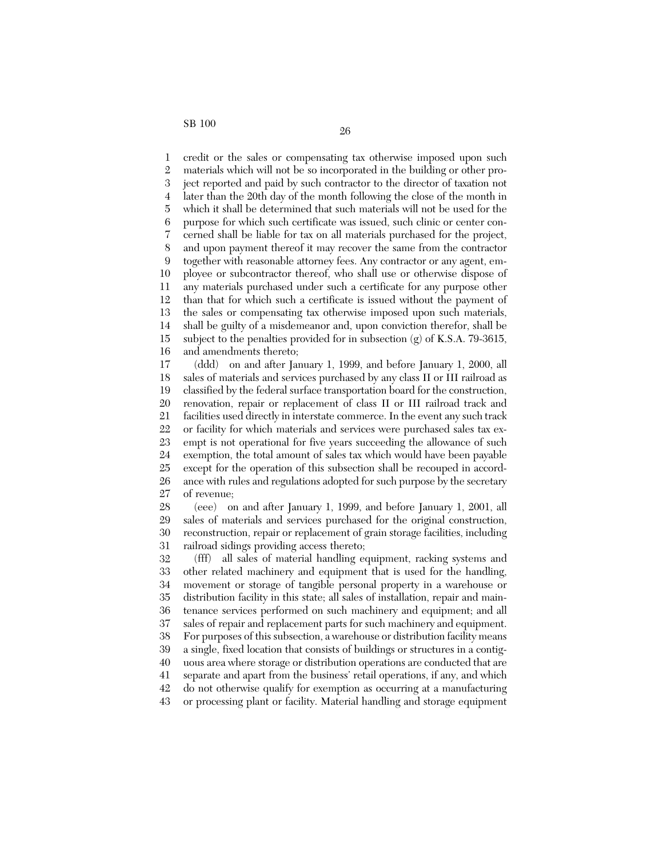1 2 3 4 5 6 7 8 9 10 11 12 13 14 15 16 credit or the sales or compensating tax otherwise imposed upon such materials which will not be so incorporated in the building or other project reported and paid by such contractor to the director of taxation not later than the 20th day of the month following the close of the month in which it shall be determined that such materials will not be used for the purpose for which such certificate was issued, such clinic or center concerned shall be liable for tax on all materials purchased for the project, and upon payment thereof it may recover the same from the contractor together with reasonable attorney fees. Any contractor or any agent, employee or subcontractor thereof, who shall use or otherwise dispose of any materials purchased under such a certificate for any purpose other than that for which such a certificate is issued without the payment of the sales or compensating tax otherwise imposed upon such materials, shall be guilty of a misdemeanor and, upon conviction therefor, shall be subject to the penalties provided for in subsection  $(g)$  of K.S.A. 79-3615, and amendments thereto;

17 18 19 20 21 22 23 24 25 26 27 (ddd) on and after January 1, 1999, and before January 1, 2000, all sales of materials and services purchased by any class II or III railroad as classified by the federal surface transportation board for the construction, renovation, repair or replacement of class II or III railroad track and facilities used directly in interstate commerce. In the event any such track or facility for which materials and services were purchased sales tax exempt is not operational for five years succeeding the allowance of such exemption, the total amount of sales tax which would have been payable except for the operation of this subsection shall be recouped in accordance with rules and regulations adopted for such purpose by the secretary of revenue;

28 29 30 31 (eee) on and after January 1, 1999, and before January 1, 2001, all sales of materials and services purchased for the original construction, reconstruction, repair or replacement of grain storage facilities, including railroad sidings providing access thereto;

32 33 34 35 36 37 38 39 40 41 42 43 (fff) all sales of material handling equipment, racking systems and other related machinery and equipment that is used for the handling, movement or storage of tangible personal property in a warehouse or distribution facility in this state; all sales of installation, repair and maintenance services performed on such machinery and equipment; and all sales of repair and replacement parts for such machinery and equipment. For purposes of this subsection, a warehouse or distribution facility means a single, fixed location that consists of buildings or structures in a contiguous area where storage or distribution operations are conducted that are separate and apart from the business' retail operations, if any, and which do not otherwise qualify for exemption as occurring at a manufacturing or processing plant or facility. Material handling and storage equipment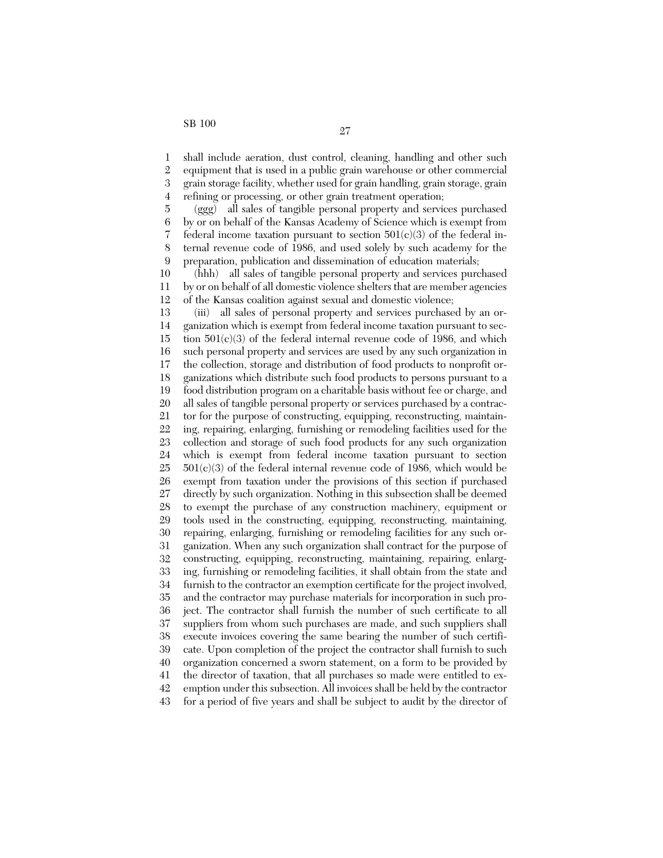1 2 3 4 shall include aeration, dust control, cleaning, handling and other such equipment that is used in a public grain warehouse or other commercial grain storage facility, whether used for grain handling, grain storage, grain refining or processing, or other grain treatment operation;

5 6 7 8 9 (ggg) all sales of tangible personal property and services purchased by or on behalf of the Kansas Academy of Science which is exempt from federal income taxation pursuant to section  $501(c)(3)$  of the federal internal revenue code of 1986, and used solely by such academy for the preparation, publication and dissemination of education materials;

10 11 12 (hhh) all sales of tangible personal property and services purchased by or on behalf of all domestic violence shelters that are member agencies of the Kansas coalition against sexual and domestic violence;

13 14 15 16 17 18 19 20 21 22 23 24 25 26 27 28 29 30 31 32 33 34 35 36 37 38 39 40 41 42 (iii) all sales of personal property and services purchased by an organization which is exempt from federal income taxation pursuant to section 501(c)(3) of the federal internal revenue code of 1986, and which such personal property and services are used by any such organization in the collection, storage and distribution of food products to nonprofit organizations which distribute such food products to persons pursuant to a food distribution program on a charitable basis without fee or charge, and all sales of tangible personal property or services purchased by a contractor for the purpose of constructing, equipping, reconstructing, maintaining, repairing, enlarging, furnishing or remodeling facilities used for the collection and storage of such food products for any such organization which is exempt from federal income taxation pursuant to section  $501(c)(3)$  of the federal internal revenue code of 1986, which would be exempt from taxation under the provisions of this section if purchased directly by such organization. Nothing in this subsection shall be deemed to exempt the purchase of any construction machinery, equipment or tools used in the constructing, equipping, reconstructing, maintaining, repairing, enlarging, furnishing or remodeling facilities for any such organization. When any such organization shall contract for the purpose of constructing, equipping, reconstructing, maintaining, repairing, enlarging, furnishing or remodeling facilities, it shall obtain from the state and furnish to the contractor an exemption certificate for the project involved, and the contractor may purchase materials for incorporation in such project. The contractor shall furnish the number of such certificate to all suppliers from whom such purchases are made, and such suppliers shall execute invoices covering the same bearing the number of such certificate. Upon completion of the project the contractor shall furnish to such organization concerned a sworn statement, on a form to be provided by the director of taxation, that all purchases so made were entitled to exemption under this subsection. All invoices shall be held by the contractor

43 for a period of five years and shall be subject to audit by the director of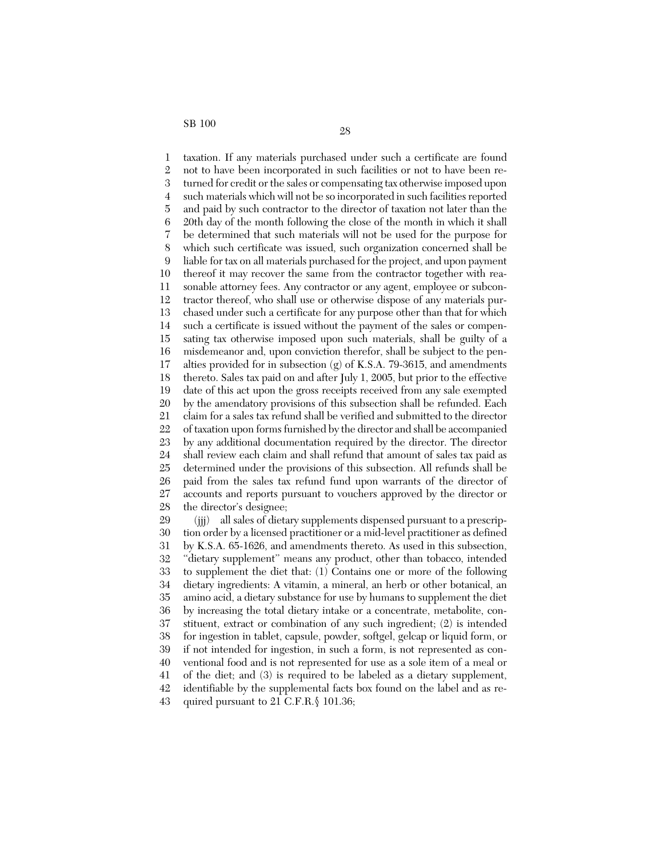1 2 3 4 5 6 7 8 9 10 11 12 13 14 15 16 17 18 19 20 21 22 23 24 25 26 27 28 taxation. If any materials purchased under such a certificate are found not to have been incorporated in such facilities or not to have been returned for credit or the sales or compensating tax otherwise imposed upon such materials which will not be so incorporated in such facilities reported and paid by such contractor to the director of taxation not later than the 20th day of the month following the close of the month in which it shall be determined that such materials will not be used for the purpose for which such certificate was issued, such organization concerned shall be liable for tax on all materials purchased for the project, and upon payment thereof it may recover the same from the contractor together with reasonable attorney fees. Any contractor or any agent, employee or subcontractor thereof, who shall use or otherwise dispose of any materials purchased under such a certificate for any purpose other than that for which such a certificate is issued without the payment of the sales or compensating tax otherwise imposed upon such materials, shall be guilty of a misdemeanor and, upon conviction therefor, shall be subject to the penalties provided for in subsection  $(g)$  of K.S.A. 79-3615, and amendments thereto. Sales tax paid on and after July 1, 2005, but prior to the effective date of this act upon the gross receipts received from any sale exempted by the amendatory provisions of this subsection shall be refunded. Each claim for a sales tax refund shall be verified and submitted to the director of taxation upon forms furnished by the director and shall be accompanied by any additional documentation required by the director. The director shall review each claim and shall refund that amount of sales tax paid as determined under the provisions of this subsection. All refunds shall be paid from the sales tax refund fund upon warrants of the director of accounts and reports pursuant to vouchers approved by the director or the director's designee;

29 30 31 32 33 34 35 36 37 38 39 40 41 42 43 (jjj) all sales of dietary supplements dispensed pursuant to a prescription order by a licensed practitioner or a mid-level practitioner as defined by K.S.A. 65-1626, and amendments thereto. As used in this subsection, "dietary supplement" means any product, other than tobacco, intended to supplement the diet that: (1) Contains one or more of the following dietary ingredients: A vitamin, a mineral, an herb or other botanical, an amino acid, a dietary substance for use by humans to supplement the diet by increasing the total dietary intake or a concentrate, metabolite, constituent, extract or combination of any such ingredient; (2) is intended for ingestion in tablet, capsule, powder, softgel, gelcap or liquid form, or if not intended for ingestion, in such a form, is not represented as conventional food and is not represented for use as a sole item of a meal or of the diet; and (3) is required to be labeled as a dietary supplement, identifiable by the supplemental facts box found on the label and as required pursuant to 21 C.F.R.§ 101.36;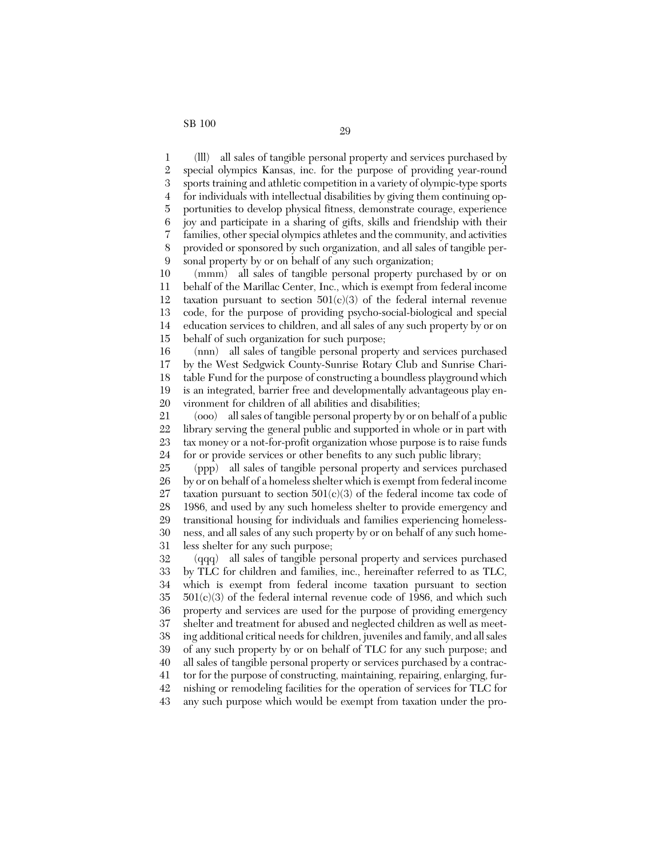1 2 3 4 5 6 7 8 9 (lll) all sales of tangible personal property and services purchased by special olympics Kansas, inc. for the purpose of providing year-round sports training and athletic competition in a variety of olympic-type sports for individuals with intellectual disabilities by giving them continuing opportunities to develop physical fitness, demonstrate courage, experience joy and participate in a sharing of gifts, skills and friendship with their families, other special olympics athletes and the community, and activities provided or sponsored by such organization, and all sales of tangible personal property by or on behalf of any such organization;

10 11 12 13 14 15 (mmm) all sales of tangible personal property purchased by or on behalf of the Marillac Center, Inc., which is exempt from federal income taxation pursuant to section  $501(c)(3)$  of the federal internal revenue code, for the purpose of providing psycho-social-biological and special education services to children, and all sales of any such property by or on behalf of such organization for such purpose;

16 17 18 19 20 (nnn) all sales of tangible personal property and services purchased by the West Sedgwick County-Sunrise Rotary Club and Sunrise Charitable Fund for the purpose of constructing a boundless playground which is an integrated, barrier free and developmentally advantageous play environment for children of all abilities and disabilities;

21 22 23 24 (ooo) all sales of tangible personal property by or on behalf of a public library serving the general public and supported in whole or in part with tax money or a not-for-profit organization whose purpose is to raise funds for or provide services or other benefits to any such public library;

25 26 27 28 29 30 31 (ppp) all sales of tangible personal property and services purchased by or on behalf of a homeless shelter which is exempt from federal income taxation pursuant to section  $501(c)(3)$  of the federal income tax code of 1986, and used by any such homeless shelter to provide emergency and transitional housing for individuals and families experiencing homelessness, and all sales of any such property by or on behalf of any such homeless shelter for any such purpose;

32 33 34 35 36 37 38 39 40 41 42 43 (qqq) all sales of tangible personal property and services purchased by TLC for children and families, inc., hereinafter referred to as TLC, which is exempt from federal income taxation pursuant to section  $501(c)(3)$  of the federal internal revenue code of 1986, and which such property and services are used for the purpose of providing emergency shelter and treatment for abused and neglected children as well as meeting additional critical needs for children, juveniles and family, and all sales of any such property by or on behalf of TLC for any such purpose; and all sales of tangible personal property or services purchased by a contractor for the purpose of constructing, maintaining, repairing, enlarging, furnishing or remodeling facilities for the operation of services for TLC for any such purpose which would be exempt from taxation under the pro-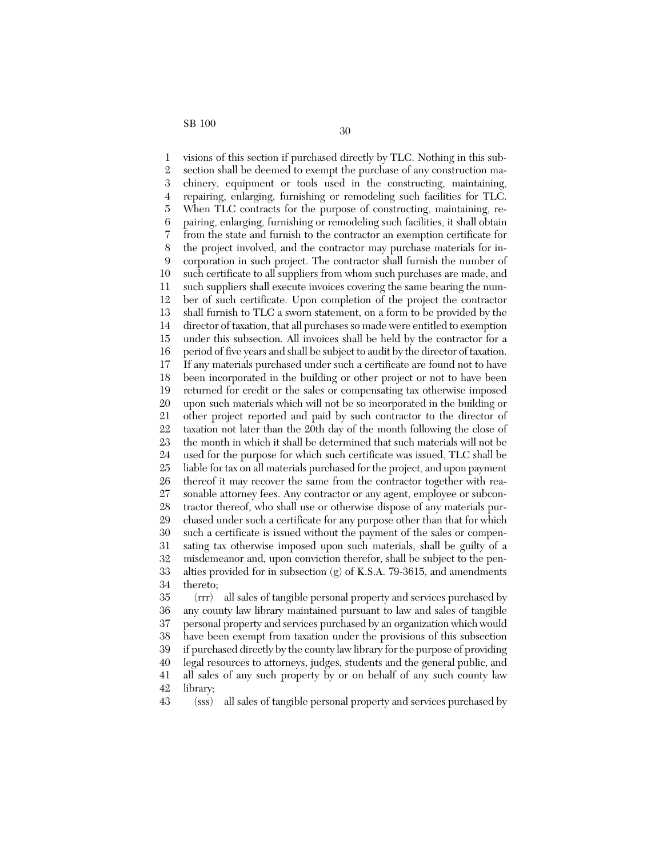1 2 3 4 5 6 7 8 9 10 11 12 13 14 15 16 17 18 19 20 21 22 23 24 25 26 27 28 29 30 31 32 33 34 35 visions of this section if purchased directly by TLC. Nothing in this subsection shall be deemed to exempt the purchase of any construction machinery, equipment or tools used in the constructing, maintaining, repairing, enlarging, furnishing or remodeling such facilities for TLC. When TLC contracts for the purpose of constructing, maintaining, repairing, enlarging, furnishing or remodeling such facilities, it shall obtain from the state and furnish to the contractor an exemption certificate for the project involved, and the contractor may purchase materials for incorporation in such project. The contractor shall furnish the number of such certificate to all suppliers from whom such purchases are made, and such suppliers shall execute invoices covering the same bearing the number of such certificate. Upon completion of the project the contractor shall furnish to TLC a sworn statement, on a form to be provided by the director of taxation, that all purchases so made were entitled to exemption under this subsection. All invoices shall be held by the contractor for a period of five years and shall be subject to audit by the director of taxation. If any materials purchased under such a certificate are found not to have been incorporated in the building or other project or not to have been returned for credit or the sales or compensating tax otherwise imposed upon such materials which will not be so incorporated in the building or other project reported and paid by such contractor to the director of taxation not later than the 20th day of the month following the close of the month in which it shall be determined that such materials will not be used for the purpose for which such certificate was issued, TLC shall be liable for tax on all materials purchased for the project, and upon payment thereof it may recover the same from the contractor together with reasonable attorney fees. Any contractor or any agent, employee or subcontractor thereof, who shall use or otherwise dispose of any materials purchased under such a certificate for any purpose other than that for which such a certificate is issued without the payment of the sales or compensating tax otherwise imposed upon such materials, shall be guilty of a misdemeanor and, upon conviction therefor, shall be subject to the penalties provided for in subsection  $(g)$  of K.S.A. 79-3615, and amendments thereto; (rrr) all sales of tangible personal property and services purchased by

36 37 38 39 40 41 42 any county law library maintained pursuant to law and sales of tangible personal property and services purchased by an organization which would have been exempt from taxation under the provisions of this subsection if purchased directly by the county law library for the purpose of providing legal resources to attorneys, judges, students and the general public, and all sales of any such property by or on behalf of any such county law library;

43 (sss) all sales of tangible personal property and services purchased by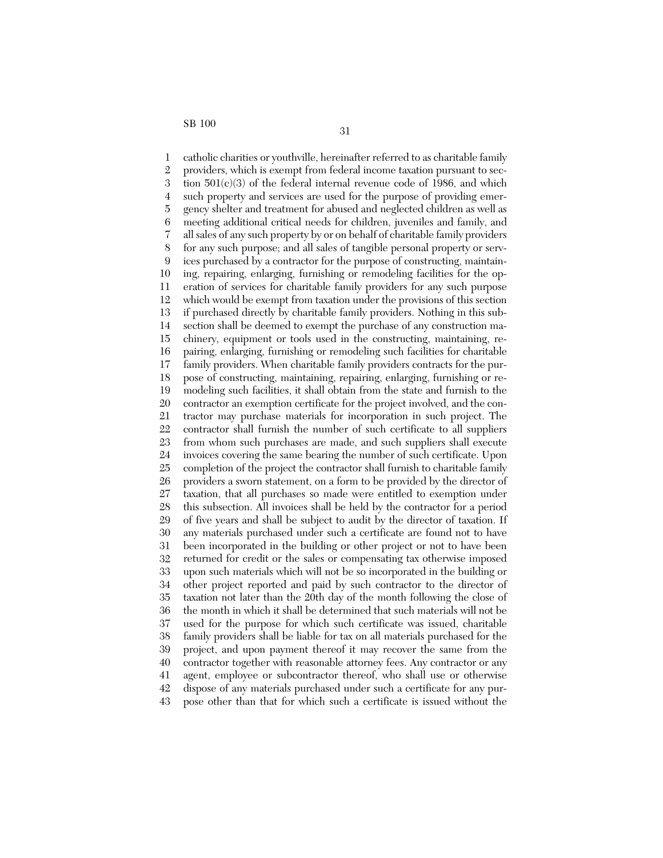1 2 3 4 5 6 7 8 9 10 11 12 13 14 15 16 17 18 19 20 21 22 23 24 25 26 27 28 29 30 31 32 33 34 35 36 37 38 39 40 41 42 43 catholic charities or youthville, hereinafter referred to as charitable family providers, which is exempt from federal income taxation pursuant to section 501(c)(3) of the federal internal revenue code of 1986, and which such property and services are used for the purpose of providing emergency shelter and treatment for abused and neglected children as well as meeting additional critical needs for children, juveniles and family, and all sales of any such property by or on behalf of charitable family providers for any such purpose; and all sales of tangible personal property or services purchased by a contractor for the purpose of constructing, maintaining, repairing, enlarging, furnishing or remodeling facilities for the operation of services for charitable family providers for any such purpose which would be exempt from taxation under the provisions of this section if purchased directly by charitable family providers. Nothing in this subsection shall be deemed to exempt the purchase of any construction machinery, equipment or tools used in the constructing, maintaining, repairing, enlarging, furnishing or remodeling such facilities for charitable family providers. When charitable family providers contracts for the purpose of constructing, maintaining, repairing, enlarging, furnishing or remodeling such facilities, it shall obtain from the state and furnish to the contractor an exemption certificate for the project involved, and the contractor may purchase materials for incorporation in such project. The contractor shall furnish the number of such certificate to all suppliers from whom such purchases are made, and such suppliers shall execute invoices covering the same bearing the number of such certificate. Upon completion of the project the contractor shall furnish to charitable family providers a sworn statement, on a form to be provided by the director of taxation, that all purchases so made were entitled to exemption under this subsection. All invoices shall be held by the contractor for a period of five years and shall be subject to audit by the director of taxation. If any materials purchased under such a certificate are found not to have been incorporated in the building or other project or not to have been returned for credit or the sales or compensating tax otherwise imposed upon such materials which will not be so incorporated in the building or other project reported and paid by such contractor to the director of taxation not later than the 20th day of the month following the close of the month in which it shall be determined that such materials will not be used for the purpose for which such certificate was issued, charitable family providers shall be liable for tax on all materials purchased for the project, and upon payment thereof it may recover the same from the contractor together with reasonable attorney fees. Any contractor or any agent, employee or subcontractor thereof, who shall use or otherwise dispose of any materials purchased under such a certificate for any purpose other than that for which such a certificate is issued without the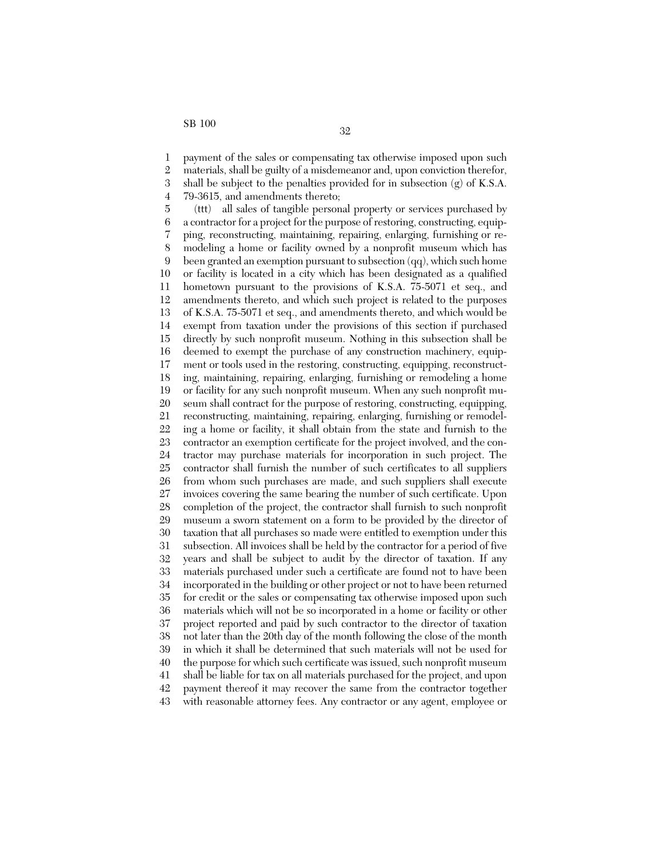1 2 3 4 payment of the sales or compensating tax otherwise imposed upon such materials, shall be guilty of a misdemeanor and, upon conviction therefor, shall be subject to the penalties provided for in subsection (g) of K.S.A. 79-3615, and amendments thereto;

5 6 7 8 9 10 11 12 13 14 15 16 17 18 19 20 21 22 23 24 25 26 27 28 29 30 31 32 33 34 35 36 37 38 39 40 41 42 43 (ttt) all sales of tangible personal property or services purchased by a contractor for a project for the purpose of restoring, constructing, equipping, reconstructing, maintaining, repairing, enlarging, furnishing or remodeling a home or facility owned by a nonprofit museum which has been granted an exemption pursuant to subsection (qq), which such home or facility is located in a city which has been designated as a qualified hometown pursuant to the provisions of K.S.A. 75-5071 et seq., and amendments thereto, and which such project is related to the purposes of K.S.A. 75-5071 et seq., and amendments thereto, and which would be exempt from taxation under the provisions of this section if purchased directly by such nonprofit museum. Nothing in this subsection shall be deemed to exempt the purchase of any construction machinery, equipment or tools used in the restoring, constructing, equipping, reconstructing, maintaining, repairing, enlarging, furnishing or remodeling a home or facility for any such nonprofit museum. When any such nonprofit museum shall contract for the purpose of restoring, constructing, equipping, reconstructing, maintaining, repairing, enlarging, furnishing or remodeling a home or facility, it shall obtain from the state and furnish to the contractor an exemption certificate for the project involved, and the contractor may purchase materials for incorporation in such project. The contractor shall furnish the number of such certificates to all suppliers from whom such purchases are made, and such suppliers shall execute invoices covering the same bearing the number of such certificate. Upon completion of the project, the contractor shall furnish to such nonprofit museum a sworn statement on a form to be provided by the director of taxation that all purchases so made were entitled to exemption under this subsection. All invoices shall be held by the contractor for a period of five years and shall be subject to audit by the director of taxation. If any materials purchased under such a certificate are found not to have been incorporated in the building or other project or not to have been returned for credit or the sales or compensating tax otherwise imposed upon such materials which will not be so incorporated in a home or facility or other project reported and paid by such contractor to the director of taxation not later than the 20th day of the month following the close of the month in which it shall be determined that such materials will not be used for the purpose for which such certificate was issued, such nonprofit museum shall be liable for tax on all materials purchased for the project, and upon payment thereof it may recover the same from the contractor together with reasonable attorney fees. Any contractor or any agent, employee or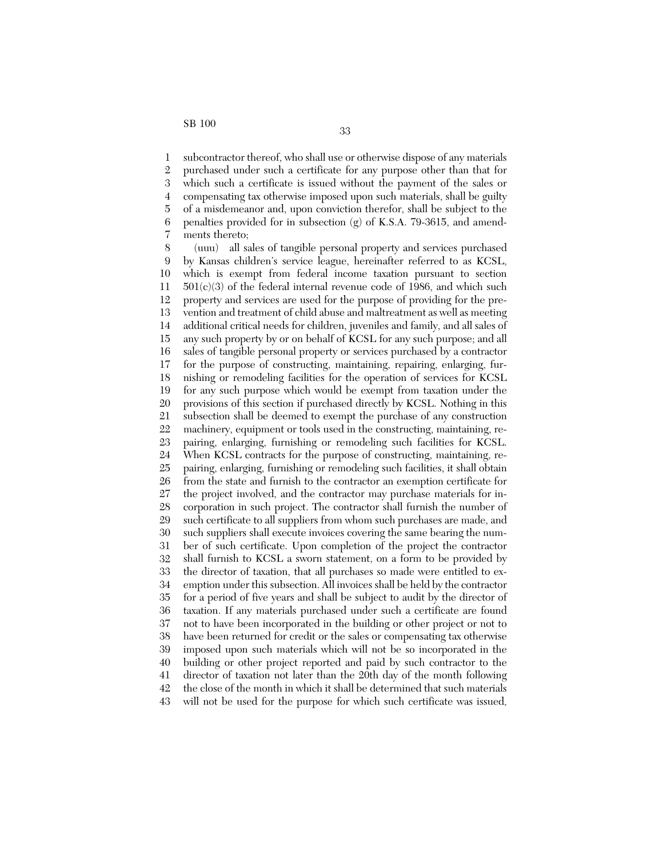1 2 3 4 5 6 7 subcontractor thereof, who shall use or otherwise dispose of any materials purchased under such a certificate for any purpose other than that for which such a certificate is issued without the payment of the sales or compensating tax otherwise imposed upon such materials, shall be guilty of a misdemeanor and, upon conviction therefor, shall be subject to the penalties provided for in subsection (g) of K.S.A. 79-3615, and amendments thereto;

8 9 10 11 12 13 14 15 16 17 18 19 20 21 22 23 24 25 26 27 28 29 30 31 32 33 34 35 36 37 38 39 40 41 42 43 (uuu) all sales of tangible personal property and services purchased by Kansas children's service league, hereinafter referred to as KCSL, which is exempt from federal income taxation pursuant to section  $501(c)(3)$  of the federal internal revenue code of 1986, and which such property and services are used for the purpose of providing for the prevention and treatment of child abuse and maltreatment as well as meeting additional critical needs for children, juveniles and family, and all sales of any such property by or on behalf of KCSL for any such purpose; and all sales of tangible personal property or services purchased by a contractor for the purpose of constructing, maintaining, repairing, enlarging, furnishing or remodeling facilities for the operation of services for KCSL for any such purpose which would be exempt from taxation under the provisions of this section if purchased directly by KCSL. Nothing in this subsection shall be deemed to exempt the purchase of any construction machinery, equipment or tools used in the constructing, maintaining, repairing, enlarging, furnishing or remodeling such facilities for KCSL. When KCSL contracts for the purpose of constructing, maintaining, repairing, enlarging, furnishing or remodeling such facilities, it shall obtain from the state and furnish to the contractor an exemption certificate for the project involved, and the contractor may purchase materials for incorporation in such project. The contractor shall furnish the number of such certificate to all suppliers from whom such purchases are made, and such suppliers shall execute invoices covering the same bearing the number of such certificate. Upon completion of the project the contractor shall furnish to KCSL a sworn statement, on a form to be provided by the director of taxation, that all purchases so made were entitled to exemption under this subsection. All invoices shall be held by the contractor for a period of five years and shall be subject to audit by the director of taxation. If any materials purchased under such a certificate are found not to have been incorporated in the building or other project or not to have been returned for credit or the sales or compensating tax otherwise imposed upon such materials which will not be so incorporated in the building or other project reported and paid by such contractor to the director of taxation not later than the 20th day of the month following the close of the month in which it shall be determined that such materials will not be used for the purpose for which such certificate was issued,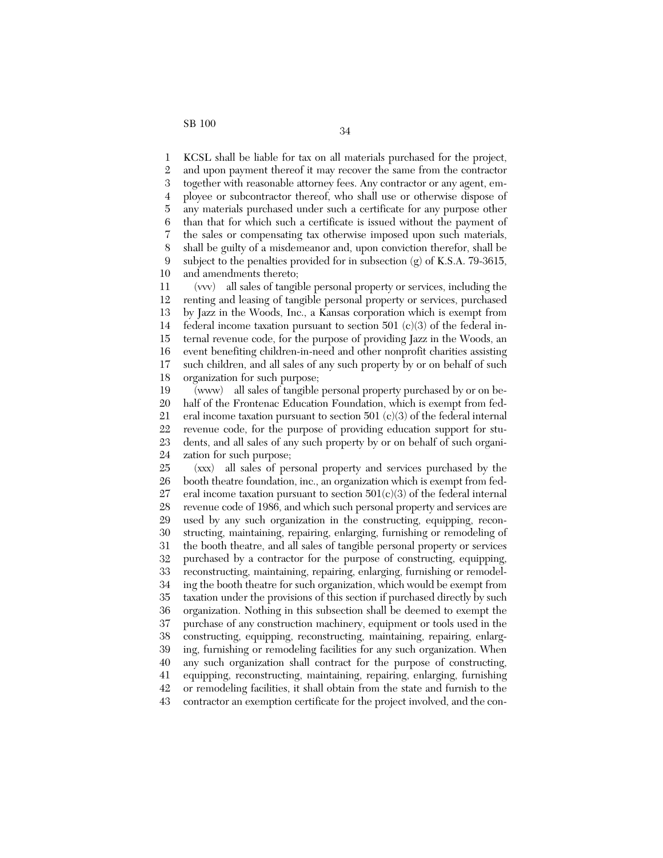1 2 3 4 5 6 7 8 9 10 KCSL shall be liable for tax on all materials purchased for the project, and upon payment thereof it may recover the same from the contractor together with reasonable attorney fees. Any contractor or any agent, employee or subcontractor thereof, who shall use or otherwise dispose of any materials purchased under such a certificate for any purpose other than that for which such a certificate is issued without the payment of the sales or compensating tax otherwise imposed upon such materials, shall be guilty of a misdemeanor and, upon conviction therefor, shall be subject to the penalties provided for in subsection  $(g)$  of K.S.A. 79-3615, and amendments thereto;

11 12 13 14 15 16 17 18 (vvv) all sales of tangible personal property or services, including the renting and leasing of tangible personal property or services, purchased by Jazz in the Woods, Inc., a Kansas corporation which is exempt from federal income taxation pursuant to section 501  $(c)(3)$  of the federal internal revenue code, for the purpose of providing Jazz in the Woods, an event benefiting children-in-need and other nonprofit charities assisting such children, and all sales of any such property by or on behalf of such organization for such purpose;

19 20 21 22 23 24 (www) all sales of tangible personal property purchased by or on behalf of the Frontenac Education Foundation, which is exempt from federal income taxation pursuant to section 501 (c)(3) of the federal internal revenue code, for the purpose of providing education support for students, and all sales of any such property by or on behalf of such organization for such purpose;

25 26 27 28 29 30 31 32 33 34 35 36 37 38 39 40 41 42 43 (xxx) all sales of personal property and services purchased by the booth theatre foundation, inc., an organization which is exempt from federal income taxation pursuant to section  $501(c)(3)$  of the federal internal revenue code of 1986, and which such personal property and services are used by any such organization in the constructing, equipping, reconstructing, maintaining, repairing, enlarging, furnishing or remodeling of the booth theatre, and all sales of tangible personal property or services purchased by a contractor for the purpose of constructing, equipping, reconstructing, maintaining, repairing, enlarging, furnishing or remodeling the booth theatre for such organization, which would be exempt from taxation under the provisions of this section if purchased directly by such organization. Nothing in this subsection shall be deemed to exempt the purchase of any construction machinery, equipment or tools used in the constructing, equipping, reconstructing, maintaining, repairing, enlarging, furnishing or remodeling facilities for any such organization. When any such organization shall contract for the purpose of constructing, equipping, reconstructing, maintaining, repairing, enlarging, furnishing or remodeling facilities, it shall obtain from the state and furnish to the contractor an exemption certificate for the project involved, and the con-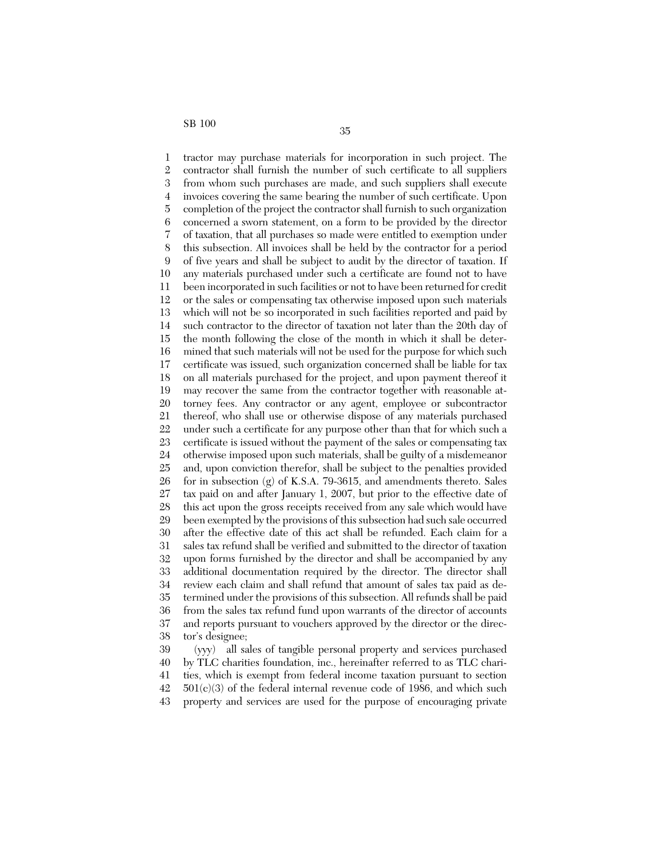1 2 3 4 5 6 7 8 9 10 11 12 13 14 15 16 17 18 19 20 21 22 23 24 25 26 27 28 29 30 31 32 33 34 35 36 37 38 39 tractor may purchase materials for incorporation in such project. The contractor shall furnish the number of such certificate to all suppliers from whom such purchases are made, and such suppliers shall execute invoices covering the same bearing the number of such certificate. Upon completion of the project the contractor shall furnish to such organization concerned a sworn statement, on a form to be provided by the director of taxation, that all purchases so made were entitled to exemption under this subsection. All invoices shall be held by the contractor for a period of five years and shall be subject to audit by the director of taxation. If any materials purchased under such a certificate are found not to have been incorporated in such facilities or not to have been returned for credit or the sales or compensating tax otherwise imposed upon such materials which will not be so incorporated in such facilities reported and paid by such contractor to the director of taxation not later than the 20th day of the month following the close of the month in which it shall be determined that such materials will not be used for the purpose for which such certificate was issued, such organization concerned shall be liable for tax on all materials purchased for the project, and upon payment thereof it may recover the same from the contractor together with reasonable attorney fees. Any contractor or any agent, employee or subcontractor thereof, who shall use or otherwise dispose of any materials purchased under such a certificate for any purpose other than that for which such a certificate is issued without the payment of the sales or compensating tax otherwise imposed upon such materials, shall be guilty of a misdemeanor and, upon conviction therefor, shall be subject to the penalties provided for in subsection (g) of K.S.A. 79-3615, and amendments thereto. Sales tax paid on and after January 1, 2007, but prior to the effective date of this act upon the gross receipts received from any sale which would have been exempted by the provisions of this subsection had such sale occurred after the effective date of this act shall be refunded. Each claim for a sales tax refund shall be verified and submitted to the director of taxation upon forms furnished by the director and shall be accompanied by any additional documentation required by the director. The director shall review each claim and shall refund that amount of sales tax paid as determined under the provisions of this subsection. All refunds shall be paid from the sales tax refund fund upon warrants of the director of accounts and reports pursuant to vouchers approved by the director or the director's designee; (yyy) all sales of tangible personal property and services purchased

40 41 42 43 by TLC charities foundation, inc., hereinafter referred to as TLC charities, which is exempt from federal income taxation pursuant to section  $501(c)(3)$  of the federal internal revenue code of 1986, and which such property and services are used for the purpose of encouraging private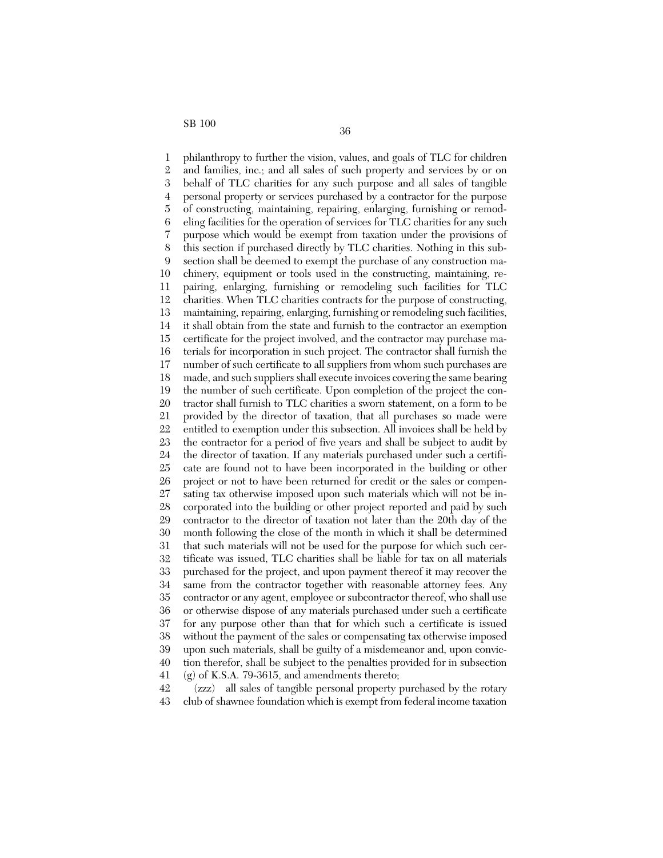1 2 3 4 5 6 7 8 9 10 11 12 13 14 15 16 17 18 19 20 21 22 23 24 25 26 27 28 29 30 31 32 33 34 35 36 37 38 39 40 41 philanthropy to further the vision, values, and goals of TLC for children and families, inc.; and all sales of such property and services by or on behalf of TLC charities for any such purpose and all sales of tangible personal property or services purchased by a contractor for the purpose of constructing, maintaining, repairing, enlarging, furnishing or remodeling facilities for the operation of services for TLC charities for any such purpose which would be exempt from taxation under the provisions of this section if purchased directly by TLC charities. Nothing in this subsection shall be deemed to exempt the purchase of any construction machinery, equipment or tools used in the constructing, maintaining, repairing, enlarging, furnishing or remodeling such facilities for TLC charities. When TLC charities contracts for the purpose of constructing, maintaining, repairing, enlarging, furnishing or remodeling such facilities, it shall obtain from the state and furnish to the contractor an exemption certificate for the project involved, and the contractor may purchase materials for incorporation in such project. The contractor shall furnish the number of such certificate to all suppliers from whom such purchases are made, and such suppliers shall execute invoices covering the same bearing the number of such certificate. Upon completion of the project the contractor shall furnish to TLC charities a sworn statement, on a form to be provided by the director of taxation, that all purchases so made were entitled to exemption under this subsection. All invoices shall be held by the contractor for a period of five years and shall be subject to audit by the director of taxation. If any materials purchased under such a certificate are found not to have been incorporated in the building or other project or not to have been returned for credit or the sales or compensating tax otherwise imposed upon such materials which will not be incorporated into the building or other project reported and paid by such contractor to the director of taxation not later than the 20th day of the month following the close of the month in which it shall be determined that such materials will not be used for the purpose for which such certificate was issued, TLC charities shall be liable for tax on all materials purchased for the project, and upon payment thereof it may recover the same from the contractor together with reasonable attorney fees. Any contractor or any agent, employee or subcontractor thereof, who shall use or otherwise dispose of any materials purchased under such a certificate for any purpose other than that for which such a certificate is issued without the payment of the sales or compensating tax otherwise imposed upon such materials, shall be guilty of a misdemeanor and, upon conviction therefor, shall be subject to the penalties provided for in subsection  $(g)$  of K.S.A. 79-3615, and amendments thereto;

42 43 (zzz) all sales of tangible personal property purchased by the rotary club of shawnee foundation which is exempt from federal income taxation